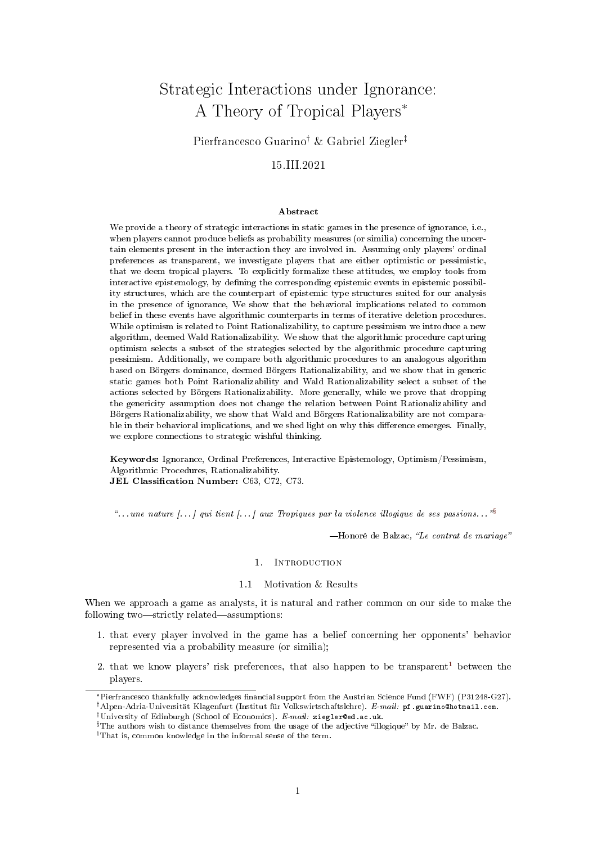# Strategic Interactions under Ignorance: A Theory of Tropical Players\*

Pierfrancesco Guarino<sup>†</sup> & Gabriel Ziegler<sup>‡</sup>

# 15.III.2021

#### Abstract

We provide a theory of strategic interactions in static games in the presence of ignorance, i.e., when players cannot produce beliefs as probability measures (or similia) concerning the uncertain elements present in the interaction they are involved in. Assuming only players' ordinal preferences as transparent, we investigate players that are either optimistic or pessimistic, that we deem tropical players. To explicitly formalize these attitudes, we employ tools from interactive epistemology, by defining the corresponding epistemic events in epistemic possibility structures, which are the counterpart of epistemic type structures suited for our analysis in the presence of ignorance, We show that the behavioral implications related to common belief in these events have algorithmic counterparts in terms of iterative deletion procedures. While optimism is related to Point Rationalizability, to capture pessimism we introduce a new algorithm, deemed Wald Rationalizability. We show that the algorithmic procedure capturing optimism selects a subset of the strategies selected by the algorithmic procedure capturing pessimism. Additionally, we compare both algorithmic procedures to an analogous algorithm based on Börgers dominance, deemed Börgers Rationalizability, and we show that in generic static games both Point Rationalizability and Wald Rationalizability select a subset of the actions selected by Börgers Rationalizability. More generally, while we prove that dropping the genericity assumption does not change the relation between Point Rationalizability and Börgers Rationalizability, we show that Wald and Börgers Rationalizability are not comparable in their behavioral implications, and we shed light on why this difference emerges. Finally, we explore connections to strategic wishful thinking.

Keywords: Ignorance, Ordinal Preferences, Interactive Epistemology, Optimism/Pessimism, Algorithmic Procedures, Rationalizability. JEL Classification Number: C63, C72, C73.

"... une nature [...] qui tient [...] aux Tropiques par la violence illogique de ses passions...  $^{18}$ 

 $-$ Honoré de Balzac, "Le contrat de mariage"

#### 1. Introduction

# 1.1 Motivation & Results

<span id="page-0-2"></span>When we approach a game as analysts, it is natural and rather common on our side to make the following two—strictly related—assumptions:

- 1. that every player involved in the game has a belief concerning her opponents' behavior represented via a probability measure (or similia);
- 2. that we know players' risk preferences, that also happen to be transparent<sup>[1](#page-0-1)</sup> between the players.

<span id="page-0-0"></span> $$$  The authors wish to distance themselves from the usage of the adjective "illogique" by Mr. de Balzac.

<sup>\*</sup>Pierfrancesco thankfully acknowledges nancial support from the Austrian Science Fund (FWF) (P31248-G27). <sup>†</sup> Alpen-Adria-Universität Klagenfurt (Institut für Volkswirtschaftslehre). E-mail: pf.guarino@hotmail.com. <sup>‡</sup>University of Edinburgh (School of Economics). *E-mail:* ziegler@ed.ac.uk.

<span id="page-0-1"></span><sup>&</sup>lt;sup>1</sup>That is, common knowledge in the informal sense of the term.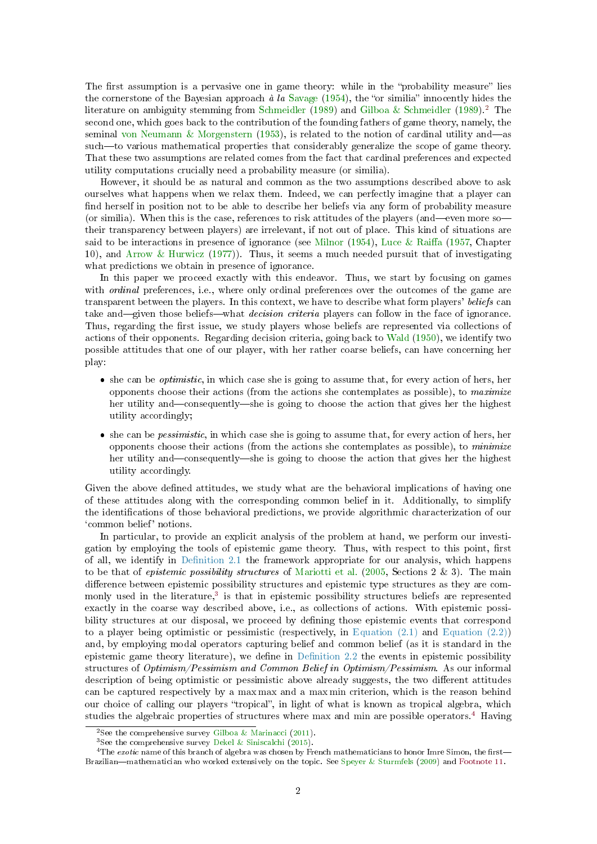<span id="page-1-3"></span>The first assumption is a pervasive one in game theory: while in the "probability measure" lies the cornerstone of the Bayesian approach  $\dot{a}$  la [Savage](#page-19-0) [\(1954\)](#page-19-0), the "or similia" innocently hides the literature on ambiguity stemming from [Schmeidler](#page-19-1) [\(1989\)](#page-19-2) and [Gilboa & Schmeidler](#page-19-2) (1989).<sup>[2](#page-1-0)</sup> The second one, which goes back to the contribution of the founding fathers of game theory, namely, the seminal [von Neumann & Morgenstern](#page-19-3) [\(1953\)](#page-19-3), is related to the notion of cardinal utility and—as such—to various mathematical properties that considerably generalize the scope of game theory. That these two assumptions are related comes from the fact that cardinal preferences and expected utility computations crucially need a probability measure (or similia).

However, it should be as natural and common as the two assumptions described above to ask ourselves what happens when we relax them. Indeed, we can perfectly imagine that a player can find herself in position not to be able to describe her beliefs via any form of probability measure (or similia). When this is the case, references to risk attitudes of the players (and—even more so their transparency between players) are irrelevant, if not out of place. This kind of situations are said to be interactions in presence of ignorance (see [Milnor](#page-19-4)  $(1954)$ , Luce & Raiffa [\(1957,](#page-19-5) Chapter 10), and [Arrow & Hurwicz](#page-18-0) [\(1977\)](#page-18-0)). Thus, it seems a much needed pursuit that of investigating what predictions we obtain in presence of ignorance.

In this paper we proceed exactly with this endeavor. Thus, we start by focusing on games with *ordinal* preferences, i.e., where only ordinal preferences over the outcomes of the game are transparent between the players. In this context, we have to describe what form players' beliefs can take and—given those beliefs—what decision criteria players can follow in the face of ignorance. Thus, regarding the first issue, we study players whose beliefs are represented via collections of actions of their opponents. Regarding decision criteria, going back to [Wald](#page-20-0) [\(1950\)](#page-20-0), we identify two possible attitudes that one of our player, with her rather coarse beliefs, can have concerning her play:

- $\bullet$  she can be *optimistic*, in which case she is going to assume that, for every action of hers, here opponents choose their actions (from the actions she contemplates as possible), to maximize her utility and—consequently—she is going to choose the action that gives her the highest utility accordingly;
- $\bullet$  she can be *pessimistic*, in which case she is going to assume that, for every action of hers, her opponents choose their actions (from the actions she contemplates as possible), to minimize her utility and—consequently—she is going to choose the action that gives her the highest utility accordingly.

Given the above defined attitudes, we study what are the behavioral implications of having one of these attitudes along with the corresponding common belief in it. Additionally, to simplify the identifications of those behavioral predictions, we provide algorithmic characterization of our `common belief' notions.

In particular, to provide an explicit analysis of the problem at hand, we perform our investigation by employing the tools of epistemic game theory. Thus, with respect to this point, first of all, we identify in Definition 2.1 the framework appropriate for our analysis, which happens to be that of *epistemic possibility structures* of [Mariotti et al.](#page-19-6) [\(2005,](#page-19-6) Sections 2 & 3). The main difference between epistemic possibility structures and epistemic type structures as they are com-monly used in the literature,<sup>[3](#page-1-1)</sup> is that in epistemic possibility structures beliefs are represented exactly in the coarse way described above, i.e., as collections of actions. With epistemic possibility structures at our disposal, we proceed by defining those epistemic events that correspond to a player being optimistic or pessimistic (respectively, in Equation  $(2.1)$  and Equation  $(2.2)$ ) and, by employing modal operators capturing belief and common belief (as it is standard in the epistemic game theory literature), we define in Definition  $2.2$  the events in epistemic possibility structures of Optimism/Pessimism and Common Belief in Optimism/Pessimism. As our informal description of being optimistic or pessimistic above already suggests, the two different attitudes can be captured respectively by a max max and a max min criterion, which is the reason behind our choice of calling our players "tropical", in light of what is known as tropical algebra, which studies the algebraic properties of structures where max and min are possible operators.[4](#page-1-2) Having

<span id="page-1-0"></span><sup>&</sup>lt;sup>2</sup>See the comprehensive survey [Gilboa & Marinacci](#page-19-7) [\(2011\)](#page-19-7).

<span id="page-1-2"></span><span id="page-1-1"></span><sup>&</sup>lt;sup>3</sup>See the comprehensive survey [Dekel & Siniscalchi](#page-19-8) [\(2015\)](#page-19-8).

 $4$ The exotic name of this branch of algebra was chosen by French mathematicians to honor Imre Simon, the first— Brazilian—mathematician who worked extensively on the topic. See [Speyer & Sturmfels](#page-19-9) [\(2009\)](#page-19-9) and [Footnote 11.](#page-4-2)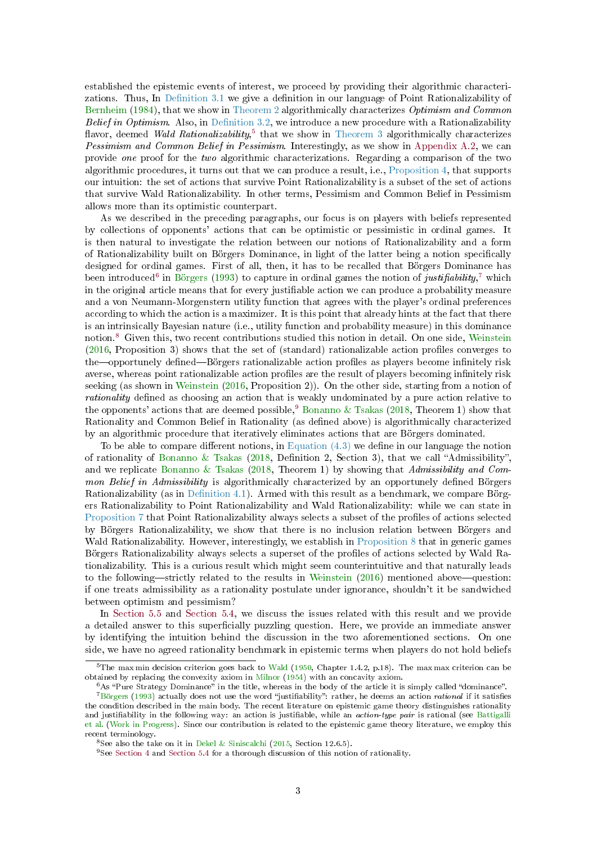<span id="page-2-5"></span>established the epistemic events of interest, we proceed by providing their algorithmic characterizations. Thus, In Definition 3.1 we give a definition in our language of Point Rationalizability of [Bernheim](#page-18-1) [\(1984\)](#page-18-1), that we show in [Theorem 2](#page-6-1) algorithmically characterizes Optimism and Common Belief in Optimism. Also, in Definition 3.2, we introduce a new procedure with a Rationalizability flavor, deemed Wald Rationalizability,<sup>[5](#page-2-0)</sup> that we show in [Theorem 3](#page-7-1) algorithmically characterizes Pessimism and Common Belief in Pessimism. Interestingly, as we show in [Appendix A.2,](#page-16-0) we can provide one proof for the two algorithmic characterizations. Regarding a comparison of the two algorithmic procedures, it turns out that we can produce a result, i.e., [Proposition 4,](#page-8-0) that supports our intuition: the set of actions that survive Point Rationalizability is a subset of the set of actions that survive Wald Rationalizability. In other terms, Pessimism and Common Belief in Pessimism allows more than its optimistic counterpart.

As we described in the preceding paragraphs, our focus is on players with beliefs represented by collections of opponents' actions that can be optimistic or pessimistic in ordinal games. It is then natural to investigate the relation between our notions of Rationalizability and a form of Rationalizability built on Börgers Dominance, in light of the latter being a notion specically designed for ordinal games. First of all, then, it has to be recalled that Börgers Dominance has been introduced<sup>[6](#page-2-1)</sup> in [Börgers](#page-18-2) [\(1993\)](#page-18-2) to capture in ordinal games the notion of justifiability,<sup>[7](#page-2-2)</sup> which in the original article means that for every justiable action we can produce a probability measure and a von Neumann-Morgenstern utility function that agrees with the player's ordinal preferences according to which the action is a maximizer. It is this point that already hints at the fact that there is an intrinsically Bayesian nature (i.e., utility function and probability measure) in this dominance notion.[8](#page-2-3) Given this, two recent contributions studied this notion in detail. On one side, [Weinstein](#page-20-1)  $(2016,$  Proposition 3) shows that the set of (standard) rationalizable action profiles converges to the—opportunely defined—Börgers rationalizable action profiles as players become infinitely risk averse, whereas point rationalizable action profiles are the result of players becoming infinitely risk seeking (as shown in [Weinstein](#page-20-1) [\(2016,](#page-20-1) Proposition 2)). On the other side, starting from a notion of rationality defined as choosing an action that is weakly undominated by a pure action relative to the opponents' actions that are deemed possible,<sup>[9](#page-2-4)</sup> [Bonanno & Tsakas](#page-18-3) [\(2018,](#page-18-3) Theorem 1) show that Rationality and Common Belief in Rationality (as dened above) is algorithmically characterized by an algorithmic procedure that iteratively eliminates actions that are Börgers dominated.

To be able to compare different notions, in Equation  $(4.3)$  we define in our language the notion of rationality of [Bonanno & Tsakas](#page-18-3) [\(2018,](#page-18-3) Definition 2, Section 3), that we call "Admissibility", and we replicate [Bonanno & Tsakas](#page-18-3) [\(2018,](#page-18-3) Theorem 1) by showing that Admissibility and Common Belief in Admissibility is algorithmically characterized by an opportunely defined Börgers Rationalizability (as in Definition 4.1). Armed with this result as a benchmark, we compare Börgers Rationalizability to Point Rationalizability and Wald Rationalizability: while we can state in [Proposition 7](#page-9-1) that Point Rationalizability always selects a subset of the profiles of actions selected by Börgers Rationalizability, we show that there is no inclusion relation between Börgers and Wald Rationalizability. However, interestingly, we establish in [Proposition 8](#page-10-0) that in generic games Börgers Rationalizability always selects a superset of the profiles of actions selected by Wald Rationalizability. This is a curious result which might seem counterintuitive and that naturally leads to the following—strictly related to the results in [Weinstein](#page-20-1)  $(2016)$  mentioned above—question: if one treats admissibility as a rationality postulate under ignorance, shouldn't it be sandwiched between optimism and pessimism?

In [Section 5.5](#page-14-0) and [Section 5.4,](#page-13-0) we discuss the issues related with this result and we provide a detailed answer to this superficially puzzling question. Here, we provide an immediate answer by identifying the intuition behind the discussion in the two aforementioned sections. On one side, we have no agreed rationality benchmark in epistemic terms when players do not hold beliefs

<span id="page-2-0"></span> $5$ The max min decision criterion goes back to [Wald](#page-20-0) [\(1950,](#page-20-0) Chapter 1.4.2, p.18). The max max criterion can be obtained by replacing the convexity axiom in [Milnor](#page-19-4) [\(1954\)](#page-19-4) with an concavity axiom.

<span id="page-2-2"></span><span id="page-2-1"></span> $6$ As "Pure Strategy Dominance" in the title, whereas in the body of the article it is simply called "dominance".

<sup>&</sup>lt;sup>7</sup>[Börgers](#page-18-2) [\(1993\)](#page-18-2) actually does not use the word "justifiability": rather, he deems an action *rational* if it satisfies the condition described in the main body. The recent literature on epistemic game theory distinguishes rationality and justifiability in the following way: an action is justifiable, while an *action-type pair* is rational (see [Battigalli](#page-18-4) [et al.](#page-18-4) [\(Work in Progress\)](#page-18-4). Since our contribution is related to the epistemic game theory literature, we employ this recent terminology.

<span id="page-2-3"></span><sup>&</sup>lt;sup>8</sup>See also the take on it in [Dekel & Siniscalchi](#page-19-8) [\(2015,](#page-19-8) Section 12.6.5).

<span id="page-2-4"></span><sup>&</sup>lt;sup>9</sup>See [Section 4](#page-8-2) and [Section 5.4](#page-13-0) for a thorough discussion of this notion of rationality.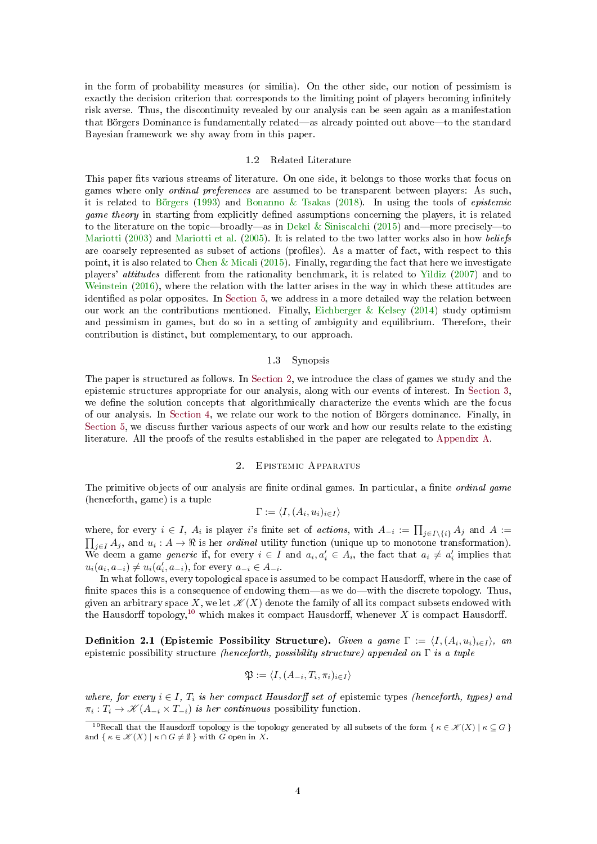<span id="page-3-3"></span>in the form of probability measures (or similia). On the other side, our notion of pessimism is exactly the decision criterion that corresponds to the limiting point of players becoming infinitely risk averse. Thus, the discontinuity revealed by our analysis can be seen again as a manifestation that Börgers Dominance is fundamentally related—as already pointed out above—to the standard Bayesian framework we shy away from in this paper.

#### 1.2 Related Literature

This paper fits various streams of literature. On one side, it belongs to those works that focus on games where only ordinal preferences are assumed to be transparent between players: As such, it is related to [Börgers](#page-18-2) [\(1993\)](#page-18-2) and [Bonanno & Tsakas](#page-18-3) [\(2018\)](#page-18-3). In using the tools of epistemic *game theory* in starting from explicitly defined assumptions concerning the players, it is related to the literature on the topic—broadly—as in [Dekel & Siniscalchi](#page-19-8) [\(2015\)](#page-19-8) and—more precisely—to [Mariotti](#page-19-10) [\(2003\)](#page-19-10) and [Mariotti et al.](#page-19-6) [\(2005\)](#page-19-6). It is related to the two latter works also in how beliefs are coarsely represented as subset of actions (profiles). As a matter of fact, with respect to this point, it is also related to [Chen & Micali](#page-18-5) [\(2015\)](#page-18-5). Finally, regarding the fact that here we investigate players' *attitudes* different from the rationality benchmark, it is related to [Yildiz](#page-20-2) [\(2007\)](#page-20-2) and to [Weinstein](#page-20-1) [\(2016\)](#page-20-1), where the relation with the latter arises in the way in which these attitudes are identified as polar opposites. In [Section 5,](#page-10-1) we address in a more detailed way the relation between our work an the contributions mentioned. Finally, [Eichberger & Kelsey](#page-19-11) [\(2014\)](#page-19-11) study optimism and pessimism in games, but do so in a setting of ambiguity and equilibrium. Therefore, their contribution is distinct, but complementary, to our approach.

# 1.3 Synopsis

The paper is structured as follows. In [Section 2,](#page-3-1) we introduce the class of games we study and the epistemic structures appropriate for our analysis, along with our events of interest. In [Section 3,](#page-6-2) we define the solution concepts that algorithmically characterize the events which are the focus of our analysis. In [Section 4,](#page-8-2) we relate our work to the notion of Börgers dominance. Finally, in [Section 5,](#page-10-1) we discuss further various aspects of our work and how our results relate to the existing literature. All the proofs of the results established in the paper are relegated to [Appendix A.](#page-15-0)

#### 2. Epistemic Apparatus

<span id="page-3-1"></span>The primitive objects of our analysis are finite ordinal games. In particular, a finite ordinal game (henceforth, game) is a tuple

$$
\Gamma := \langle I, (A_i, u_i)_{i \in I} \rangle
$$

where, for every  $i \in I$ ,  $A_i$  is player is finite set of actions, with  $A_{-i} := \prod_{j \in I \setminus \{i\}} A_j$  and  $A :=$  $\prod_{j\in I}A_j$ , and  $u_i: A\to \Re$  is her *ordinal* utility function (unique up to monotone transformation). We deem a game *generic* if, for every  $i \in I$  and  $a_i, a'_i \in A_i$ , the fact that  $a_i \neq a'_i$  implies that  $u_i(a_i, a_{-i}) \neq u_i(a'_i, a_{-i})$ , for every  $a_{-i} \in A_{-i}$ .

In what follows, every topological space is assumed to be compact Hausdorff, where in the case of finite spaces this is a consequence of endowing them—as we do—with the discrete topology. Thus, given an arbitrary space X, we let  $\mathscr{K}(X)$  denote the family of all its compact subsets endowed with the Hausdorff topology,<sup>[10](#page-3-2)</sup> which makes it compact Hausdorff, whenever X is compact Hausdorff.

<span id="page-3-0"></span>Definition 2.1 (Epistemic Possibility Structure). Given a game  $\Gamma := \langle I, (A_i, u_i)_{i \in I} \rangle$ , an epistemic possibility structure (henceforth, possibility structure) appended on  $\Gamma$  is a tuple

$$
\mathfrak{P} := \langle I, (A_{-i}, T_i, \pi_i)_{i \in I} \rangle
$$

where, for every  $i \in I$ ,  $T_i$  is her compact Hausdorff set of epistemic types (henceforth, types) and  $\pi_i: T_i \to \mathcal{K}(A_{-i} \times T_{-i})$  is her continuous possibility function.

<span id="page-3-2"></span><sup>&</sup>lt;sup>10</sup>Recall that the Hausdorff topology is the topology generated by all subsets of the form  $\{ \kappa \in \mathscr{K}(X) \mid \kappa \subseteq G \}$ and  $\{ \kappa \in \mathcal{K}(X) \mid \kappa \cap G \neq \emptyset \}$  with G open in X.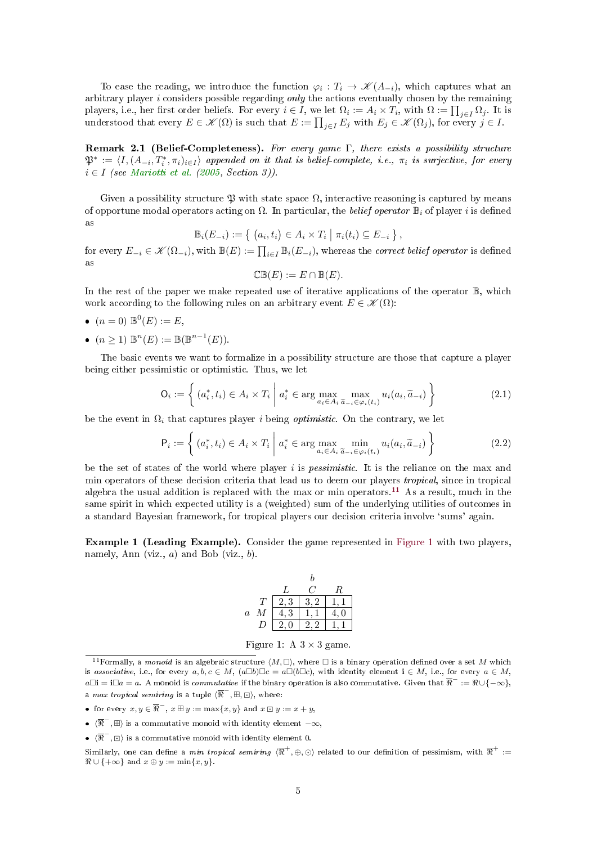<span id="page-4-5"></span>To ease the reading, we introduce the function  $\varphi_i: T_i \to \mathscr{K}(A_{-i})$ , which captures what an arbitrary player  $i$  considers possible regarding only the actions eventually chosen by the remaining players, i.e., her first order beliefs. For every  $i \in I$ , we let  $\Omega_i := A_i \times T_i$ , with  $\Omega := \prod_{j \in I} \Omega_j$ . It is understood that every  $E \in \mathscr{K}(\Omega)$  is such that  $E := \prod_{j \in I} E_j$  with  $E_j \in \mathscr{K}(\Omega_j)$ , for every  $j \in I$ .

Remark 2.1 (Belief-Completeness). For every game  $\Gamma$ , there exists a possibility structure  $\mathfrak{P}^*:=\langle I, (A_{-i}, T_i^*, \pi_i)_{i\in I}\rangle$  appended on it that is belief-complete, i.e.,  $\pi_i$  is surjective, for every  $i \in I$  (see [Mariotti et al.](#page-19-6) [\(2005,](#page-19-6) Section 3)).

Given a possibility structure  $\mathfrak P$  with state space  $\Omega$ , interactive reasoning is captured by means of opportune modal operators acting on  $\Omega$ . In particular, the *belief operator*  $\mathbb{B}_i$  of player i is defined as

$$
\mathbb{B}_i(E_{-i}) := \{ (a_i, t_i) \in A_i \times T_i \mid \pi_i(t_i) \subseteq E_{-i} \},
$$

for every  $E_{-i} \in \mathscr{K}(\Omega_{-i}),$  with  $\mathbb{B}(E) := \prod_{i \in I} \mathbb{B}_i(E_{-i}),$  whereas the *correct belief operator* is defined as

$$
\mathbb{CB}(E) := E \cap \mathbb{B}(E).
$$

In the rest of the paper we make repeated use of iterative applications of the operator B, which work according to the following rules on an arbitrary event  $E \in \mathscr{K}(\Omega)$ :

- $(n = 0) \mathbb{B}^0(E) := E,$
- $(n \ge 1) \mathbb{B}^n(E) := \mathbb{B}(\mathbb{B}^{n-1}(E)).$

The basic events we want to formalize in a possibility structure are those that capture a player being either pessimistic or optimistic. Thus, we let

<span id="page-4-0"></span>
$$
\mathsf{O}_{i} := \left\{ (a_{i}^{*}, t_{i}) \in A_{i} \times T_{i} \middle| a_{i}^{*} \in \arg \max_{a_{i} \in A_{i}} \max_{\tilde{a}_{-i} \in \varphi_{i}(t_{i})} u_{i}(a_{i}, \tilde{a}_{-i}) \right\}
$$
(2.1)

be the event in  $\Omega_i$  that captures player i being *optimistic*. On the contrary, we let

<span id="page-4-1"></span>
$$
\mathsf{P}_{i} := \left\{ (a_{i}^{*}, t_{i}) \in A_{i} \times T_{i} \mid a_{i}^{*} \in \arg\max_{a_{i} \in A_{i}} \min_{\tilde{a}_{-i} \in \varphi_{i}(t_{i})} u_{i}(a_{i}, \tilde{a}_{-i}) \right\}
$$
(2.2)

be the set of states of the world where player i is *pessimistic*. It is the reliance on the max and min operators of these decision criteria that lead us to deem our players tropical, since in tropical algebra the usual addition is replaced with the max or min operators.<sup>[11](#page-4-2)</sup> As a result, much in the same spirit in which expected utility is a (weighted) sum of the underlying utilities of outcomes in a standard Bayesian framework, for tropical players our decision criteria involve 'sums' again.

<span id="page-4-4"></span>Example 1 (Leading Example). Consider the game represented in [Figure 1](#page-4-3) with two players, namely, Ann (viz.,  $a$ ) and Bob (viz.,  $b$ ).

|         |   | n   |      |   |
|---------|---|-----|------|---|
|         |   |     | . .  | R |
|         | T | 2,3 | 3, 2 |   |
| $\it a$ | М | 3   |      | 0 |
|         |   | 2,0 | 2,2  |   |

<span id="page-4-3"></span>Figure 1: A  $3 \times 3$  game.

<span id="page-4-2"></span><sup>&</sup>lt;sup>11</sup> Formally, a monoid is an algebraic structure  $\langle M, \Box \rangle$ , where  $\Box$  is a binary operation defined over a set M which is associative, i.e., for every  $a, b, c \in M$ ,  $(a \Box b) \Box c = a \Box (b \Box c)$ , with identity element  $\mathbf{i} \in M$ , i.e., for every  $a \in M$ ,  $a\Box \mathbf{i} = \mathbf{i}\Box a = a$ . A monoid is *commutative* if the binary operation is also commutative. Given that  $\overline{\Re}^- := \Re\cup\{-\infty\},$ a max tropical semiring is a tuple  $\langle \overline{\mathcal{R}}^-, \boxplus, \boxdot \rangle$ , where:

<sup>•</sup> for every  $x, y \in \overline{\Re}^{-}$ ,  $x \boxplus y := \max\{x, y\}$  and  $x \boxdot y := x + y$ ,

 $\bullet$   $\langle \overline{\Re}^- , \boxplus \rangle$  is a commutative monoid with identity element  $-\infty$ ,

 $\bullet$   $\langle \overline{\mathcal{R}}^-, \Box \rangle$  is a commutative monoid with identity element 0.

Similarly, one can define a *min tropical semiring*  $\langle\overline{\Re}^+,\oplus,\odot\rangle$  related to our definition of pessimism, with  $\overline{\Re}^+$  :=  $\Re \cup \{+\infty\}$  and  $x \oplus y := \min\{x, y\}.$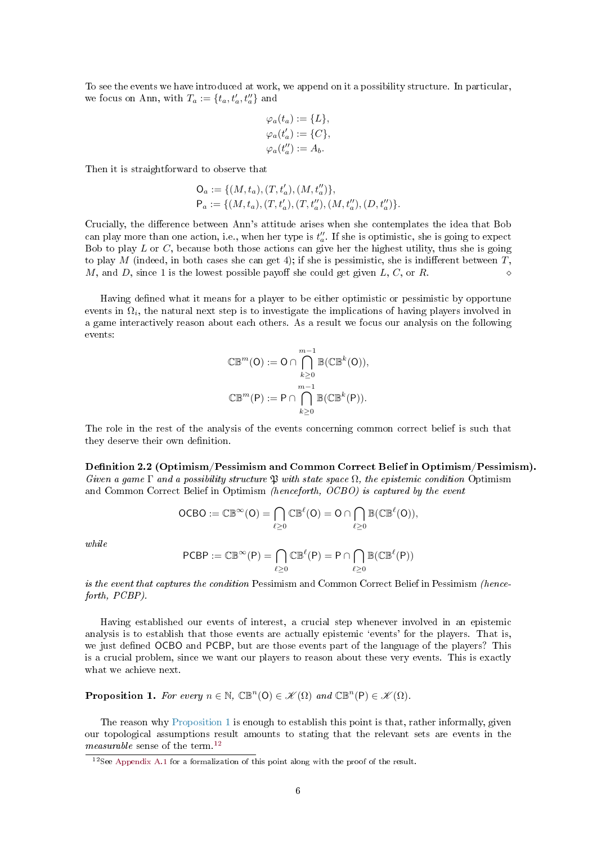To see the events we have introduced at work, we append on it a possibility structure. In particular, we focus on Ann, with  $T_a := \{t_a, t'_a, t''_a\}$  and

$$
\varphi_a(t_a) := \{L\},
$$
  
\n
$$
\varphi_a(t'_a) := \{C\},
$$
  
\n
$$
\varphi_a(t''_a) := A_b.
$$

Then it is straightforward to observe that

$$
O_a := \{ (M, t_a), (T, t'_a), (M, t''_a) \},
$$
  
\n
$$
P_a := \{ (M, t_a), (T, t'_a), (T, t''_a), (M, t''_a), (D, t''_a) \}.
$$

Crucially, the difference between Ann's attitude arises when she contemplates the idea that Bob can play more than one action, i.e., when her type is  $t''_a$ . If she is optimistic, she is going to expect Bob to play  $L$  or  $C$ , because both those actions can give her the highest utility, thus she is going to play M (indeed, in both cases she can get 4); if she is pessimistic, she is indifferent between  $T$ , M, and D, since 1 is the lowest possible payoff she could get given L, C, or R.

Having defined what it means for a player to be either optimistic or pessimistic by opportune events in  $\Omega_i$ , the natural next step is to investigate the implications of having players involved in a game interactively reason about each others. As a result we focus our analysis on the following events:

$$
\mathbb{CB}^m(\mathsf{O}) := \mathsf{O} \cap \bigcap_{k \geq 0}^{m-1} \mathbb{B}(\mathbb{CB}^k(\mathsf{O})),
$$
  

$$
\mathbb{CB}^m(\mathsf{P}) := \mathsf{P} \cap \bigcap_{k \geq 0}^{m-1} \mathbb{B}(\mathbb{CB}^k(\mathsf{P})).
$$

The role in the rest of the analysis of the events concerning common correct belief is such that they deserve their own definition.

<span id="page-5-0"></span>Definition 2.2 (Optimism/Pessimism and Common Correct Belief in Optimism/Pessimism). Given a game  $\Gamma$  and a possibility structure  $\mathfrak P$  with state space  $\Omega$ , the epistemic condition Optimism and Common Correct Belief in Optimism (henceforth, OCBO) is captured by the event

$$
\text{OCBO}:=\mathbb{CB}^\infty(O)=\bigcap_{\ell\geq 0}\mathbb{CB}^\ell(O)=O\cap\bigcap_{\ell\geq 0}\mathbb{B}(\mathbb{CB}^\ell(O)),
$$

while

$$
PCBP := \mathbb{CB}^{\infty}(P) = \bigcap_{\ell \geq 0} \mathbb{CB}^{\ell}(P) = P \cap \bigcap_{\ell \geq 0} \mathbb{B}(\mathbb{CB}^{\ell}(P))
$$

is the event that captures the condition Pessimism and Common Correct Belief in Pessimism (henceforth, PCBP).

Having established our events of interest, a crucial step whenever involved in an epistemic analysis is to establish that those events are actually epistemic 'events' for the players. That is, we just defined OCBO and PCBP, but are those events part of the language of the players? This is a crucial problem, since we want our players to reason about these very events. This is exactly what we achieve next.

<span id="page-5-1"></span>**Proposition 1.** For every  $n \in \mathbb{N}$ ,  $\mathbb{CB}^n(\mathsf{O}) \in \mathcal{K}(\Omega)$  and  $\mathbb{CB}^n(\mathsf{P}) \in \mathcal{K}(\Omega)$ .

The reason why [Proposition 1](#page-5-1) is enough to establish this point is that, rather informally, given our topological assumptions result amounts to stating that the relevant sets are events in the measurable sense of the term.<sup>[12](#page-5-2)</sup>

<span id="page-5-2"></span><sup>&</sup>lt;sup>12</sup>See [Appendix A.1](#page-15-1) for a formalization of this point along with the proof of the result.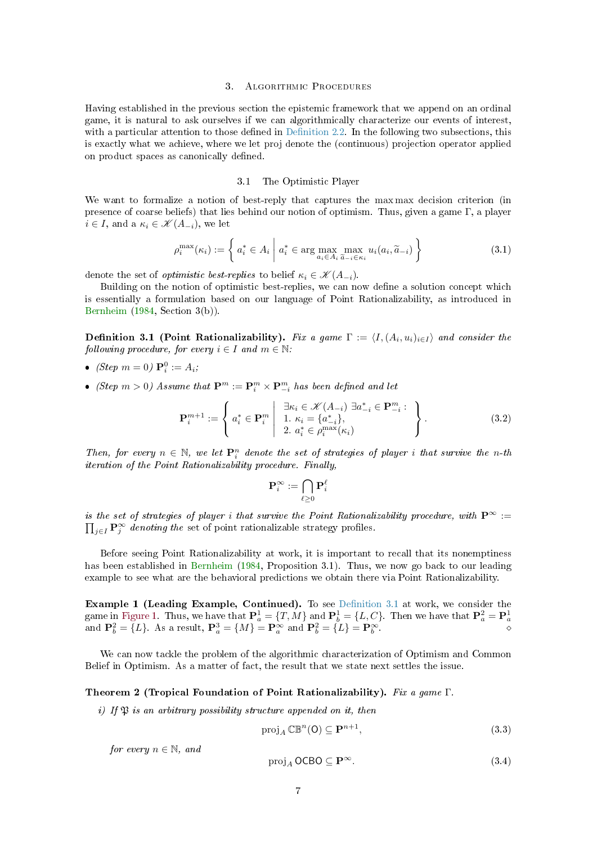#### 3. Algorithmic Procedures

<span id="page-6-6"></span><span id="page-6-2"></span>Having established in the previous section the epistemic framework that we append on an ordinal game, it is natural to ask ourselves if we can algorithmically characterize our events of interest, with a particular attention to those defined in Definition 2.2. In the following two subsections, this is exactly what we achieve, where we let proj denote the (continuous) projection operator applied on product spaces as canonically defined.

# 3.1 The Optimistic Player

<span id="page-6-3"></span>We want to formalize a notion of best-reply that captures the max max decision criterion (in presence of coarse beliefs) that lies behind our notion of optimism. Thus, given a game Γ, a player  $i \in I$ , and a  $\kappa_i \in \mathcal{K}(A_{-i})$ , we let

$$
\rho_i^{\max}(\kappa_i) := \left\{ a_i^* \in A_i \; \middle| \; a_i^* \in \arg\max_{a_i \in A_i} \max_{\widetilde{a}_{-i} \in \kappa_i} u_i(a_i, \widetilde{a}_{-i}) \right\} \tag{3.1}
$$

denote the set of *optimistic best-replies* to belief  $\kappa_i \in \mathcal{K}(A_{-i})$ .

Building on the notion of optimistic best-replies, we can now define a solution concept which is essentially a formulation based on our language of Point Rationalizability, as introduced in [Bernheim](#page-18-1) [\(1984,](#page-18-1) Section 3(b)).

<span id="page-6-0"></span>**Definition 3.1 (Point Rationalizability).** Fix a game  $\Gamma := \langle I, (A_i, u_i)_{i \in I} \rangle$  and consider the following procedure, for every  $i \in I$  and  $m \in \mathbb{N}$ .

- (Step  $m = 0$ )  ${\bf P}_{i}^{0} := A_{i}$ ;
- (Step  $m > 0$ ) Assume that  $\mathbf{P}^m := \mathbf{P}^m_i \times \mathbf{P}^m_{-i}$  has been defined and let

$$
\mathbf{P}_{i}^{m+1} := \left\{ a_{i}^{*} \in \mathbf{P}_{i}^{m} \middle| \begin{array}{c} \exists \kappa_{i} \in \mathcal{K}(A_{-i}) \ \exists a_{-i}^{*} \in \mathbf{P}_{-i}^{m} : \\ 1. \ \kappa_{i} = \{a_{-i}^{*}\}, \\ 2. \ a_{i}^{*} \in \rho_{i}^{\max}(\kappa_{i}) \end{array} \right\}.
$$
 (3.2)

Then, for every  $n \in \mathbb{N}$ , we let  $\mathbf{P}_i^n$  denote the set of strategies of player i that survive the n-th iteration of the Point Rationalizability procedure. Finally,

$$
\mathbf{P}^\infty_i := \bigcap_{\ell \geq 0} \mathbf{P}^\ell_i
$$

is the set of strategies of player i that survive the Point Rationalizability procedure, with  $\mathbf{P}^{\infty}$  :=  $\prod_{j\in I} \mathbf{P}_j^{\infty}$  denoting the set of point rationalizable strategy profiles.

Before seeing Point Rationalizability at work, it is important to recall that its nonemptiness has been established in [Bernheim](#page-18-1) [\(1984,](#page-18-1) Proposition 3.1). Thus, we now go back to our leading example to see what are the behavioral predictions we obtain there via Point Rationalizability.

**Example 1 (Leading Example, Continued).** To see Definition 3.1 at work, we consider the game in [Figure 1.](#page-4-3) Thus, we have that  $\mathbf{P}_a^1 = \{T, M\}$  and  $\mathbf{P}_b^1 = \{L, C\}$ . Then we have that  $\mathbf{P}_a^2 = \mathbf{P}_a^1$  and  $\mathbf{P}_b^2 = \{L\}$ . As a result,  $\mathbf{P}_a^3 = \{M\} = \mathbf{P}_\alpha^\infty$  and  $\mathbf{P}_b^2 = \{L\} = \mathbf{P}_b^\infty$ .

We can now tackle the problem of the algorithmic characterization of Optimism and Common Belief in Optimism. As a matter of fact, the result that we state next settles the issue.

## <span id="page-6-1"></span>Theorem 2 (Tropical Foundation of Point Rationalizability). Fix a game Γ.

i) If  $\mathfrak{B}$  is an arbitrary possibility structure appended on it, then

<span id="page-6-4"></span>
$$
\operatorname{proj}_{A} \mathbb{CB}^{n}(0) \subseteq \mathbf{P}^{n+1},\tag{3.3}
$$

for every  $n \in \mathbb{N}$ , and

<span id="page-6-5"></span>
$$
\operatorname{proj}_A \mathsf{OCBO} \subseteq \mathbf{P}^{\infty}.\tag{3.4}
$$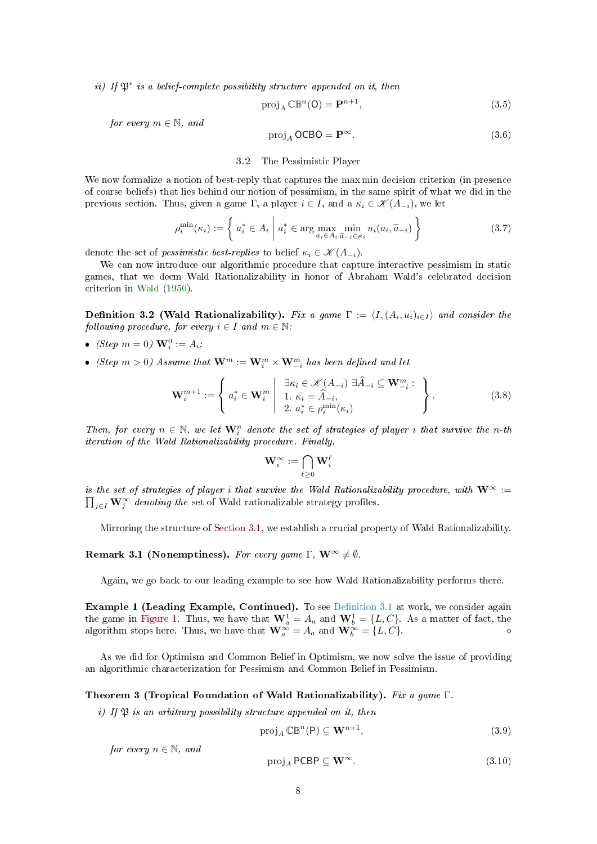<span id="page-7-6"></span>ii) If  $\mathfrak{P}^*$  is a belief-complete possibility structure appended on it, then

<span id="page-7-4"></span>
$$
proj_A \mathbb{CB}^n(\mathsf{O}) = \mathbf{P}^{n+1},\tag{3.5}
$$

for every  $m \in \mathbb{N}$ , and

<span id="page-7-5"></span>
$$
proj_A OCBO = P^{\infty}.
$$
 (3.6)

# 3.2 The Pessimistic Player

We now formalize a notion of best-reply that captures the max min decision criterion (in presence) of coarse beliefs) that lies behind our notion of pessimism, in the same spirit of what we did in the previous section. Thus, given a game Γ, a player  $i \in I$ , and a  $\kappa_i \in \mathcal{K}(A_{-i})$ , we let

$$
\rho_i^{\min}(\kappa_i) := \left\{ a_i^* \in A_i \; \middle| \; a_i^* \in \arg\max_{a_i \in A_i} \min_{\tilde{a}_{-i} \in \kappa_i} u_i(a_i, \tilde{a}_{-i}) \right\} \tag{3.7}
$$

denote the set of *pessimistic best-replies* to belief  $\kappa_i \in \mathcal{K}(A_{-i})$ .

We can now introduce our algorithmic procedure that capture interactive pessimism in static games, that we deem Wald Rationalizability in honor of Abraham Wald's celebrated decision criterion in [Wald](#page-20-0) [\(1950\)](#page-20-0).

<span id="page-7-0"></span>**Definition 3.2 (Wald Rationalizability).** Fix a game  $\Gamma := \langle I, (A_i, u_i)_{i \in I} \rangle$  and consider the following procedure, for every  $i \in I$  and  $m \in \mathbb{N}$ .

- (Step  $m = 0$ )  $\mathbf{W}_i^0 := A_i$ ;
- (Step  $m > 0$ ) Assume that  $\mathbf{W}^m := \mathbf{W}^m_i \times \mathbf{W}^m_{-i}$  has been defined and let

$$
\mathbf{W}_{i}^{m+1} := \left\{ a_{i}^{*} \in \mathbf{W}_{i}^{m} \middle| \begin{array}{c} \exists \kappa_{i} \in \mathcal{K}(A_{-i}) \ \exists \widehat{A}_{-i} \subseteq \mathbf{W}_{-i}^{m} : \\ 1. \ \kappa_{i} = \widehat{A}_{-i}, \\ 2. \ a_{i}^{*} \in \rho_{i}^{\min}(\kappa_{i}) \end{array} \right\}.
$$
 (3.8)

Then, for every  $n \in \mathbb{N}$ , we let  $\mathbf{W}_i^n$  denote the set of strategies of player i that survive the n-th iteration of the Wald Rationalizability procedure. Finally,

$$
\mathbf{W}^{\infty}_i := \bigcap_{\ell \geq 0} \mathbf{W}^{\ell}_i
$$

is the set of strategies of player i that survive the Wald Rationalizability procedure, with  $\mathbf{W}^{\infty}$  :=  $\prod_{j\in I} \mathbf{W}_j^{\infty}$  denoting the set of Wald rationalizable strategy profiles.

Mirroring the structure of [Section 3.1,](#page-6-3) we establish a crucial property of Wald Rationalizability.

Remark 3.1 (Nonemptiness). For every game  $\Gamma$ ,  $\mathbf{W}^{\infty} \neq \emptyset$ .

Again, we go back to our leading example to see how Wald Rationalizability performs there.

**Example 1 (Leading Example, Continued).** To see Definition 3.1 at work, we consider again the game in [Figure 1.](#page-4-3) Thus, we have that  $\mathbf{W}_a^1 = A_a$  and  $\mathbf{W}_b^1 = \{L, C\}$ . As a matter of fact, the algorithm stops here. Thus, we have that  $\mathbf{W}_a^{\infty} = A_a$  and  $\mathbf{W}_b^{\infty} = \{L, C\}$ .

As we did for Optimism and Common Belief in Optimism, we now solve the issue of providing an algorithmic characterization for Pessimism and Common Belief in Pessimism.

# <span id="page-7-1"></span>Theorem 3 (Tropical Foundation of Wald Rationalizability). Fix a game Γ.

i) If  $\mathfrak{P}$  is an arbitrary possibility structure appended on it, then

<span id="page-7-2"></span>
$$
\operatorname{proj}_{A} \mathbb{CB}^{n}(\mathsf{P}) \subseteq \mathbf{W}^{n+1},\tag{3.9}
$$

for every  $n \in \mathbb{N}$ , and

<span id="page-7-3"></span>
$$
\operatorname{proj}_{A} \mathsf{PCBP} \subseteq \mathbf{W}^{\infty}.\tag{3.10}
$$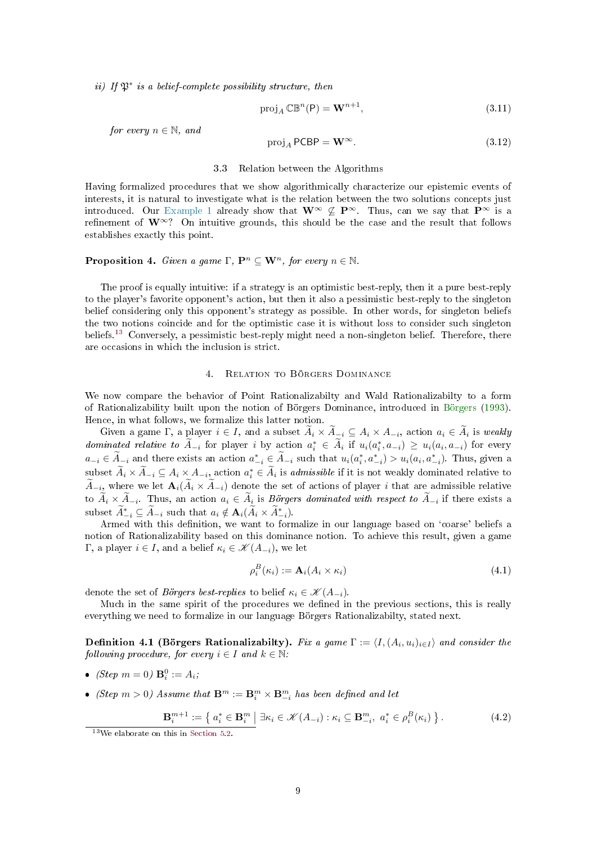<span id="page-8-8"></span>ii) If P<sup>∗</sup> is a belief-complete possibility structure, then

<span id="page-8-6"></span>
$$
proj_A \mathbb{CB}^n(\mathsf{P}) = \mathbf{W}^{n+1},\tag{3.11}
$$

for every  $n \in \mathbb{N}$ , and

<span id="page-8-7"></span>
$$
proj_A PCBP = \mathbf{W}^{\infty}.
$$
 (3.12)

#### 3.3 Relation between the Algorithms

Having formalized procedures that we show algorithmically characterize our epistemic events of interests, it is natural to investigate what is the relation between the two solutions concepts just introduced. Our [Example 1](#page-4-4) already show that  $\mathbf{W}^{\infty} \nsubseteq \mathbf{P}^{\infty}$ . Thus, can we say that  $\mathbf{P}^{\infty}$  is a refinement of  $\mathbf{W}^{\infty}$ ? On intuitive grounds, this should be the case and the result that follows establishes exactly this point.

# <span id="page-8-0"></span>**Proposition 4.** Given a game  $\Gamma$ ,  $\mathbf{P}^n \subseteq \mathbf{W}^n$ , for every  $n \in \mathbb{N}$ .

The proof is equally intuitive: if a strategy is an optimistic best-reply, then it a pure best-reply to the player's favorite opponent's action, but then it also a pessimistic best-reply to the singleton belief considering only this opponent's strategy as possible. In other words, for singleton beliefs the two notions coincide and for the optimistic case it is without loss to consider such singleton beliefs.<sup>[13](#page-8-3)</sup> Conversely, a pessimistic best-reply might need a non-singleton belief. Therefore, there are occasions in which the inclusion is strict.

#### 4. Relation to Börgers Dominance

<span id="page-8-2"></span>We now compare the behavior of Point Rationalizabilty and Wald Rationalizabilty to a form of Rationalizability built upon the notion of Börgers Dominance, introduced in [Börgers](#page-18-2) [\(1993\)](#page-18-2). Hence, in what follows, we formalize this latter notion.

Given a game  $\Gamma$ , a player  $i \in I$ , and a subset  $A_i \times A_{i} \subseteq A_i \times A_{-i}$ , action  $a_i \in A_i$  is weakly dominated relative to  $\tilde{A}_{-i}$  for player i by action  $a_i^* \in \tilde{A}_i$  if  $u_i(a_i^*, a_{-i}) \geq u_i(a_i, a_{-i})$  for every  $a_{-i} \in \tilde{A}_{-i}$  and there exists an action  $a_{-i}^* \in \tilde{A}_{-i}$  such that  $u_i(a_i^*, a_{-i}^*) > u_i(a_i, a_{-i}^*)$ . Thus, given a subset  $\widetilde{A}_i \times \widetilde{A}_{-i} \subseteq A_i \times A_{-i}$ , action  $a_i^* \in \widetilde{A}_i$  is *admissible* if it is not weakly dominated relative to  $A_{-i}$ , where we let  $\mathbf{A}_i(A_i \times A_{-i})$  denote the set of actions of player i that are admissible relative to  $A_i \times A_{-i}$ . Thus, an action  $a_i \in A_i$  is Börgers dominated with respect to  $A_{-i}$  if there exists a subset  $\widetilde{A}^*_{-i} \subseteq \widetilde{A}_{-i}$  such that  $a_i \notin \mathbf{A}_i(\widetilde{A}_i \times \widetilde{A}_{-i}^*)$ .

Armed with this definition, we want to formalize in our language based on 'coarse' beliefs a notion of Rationalizability based on this dominance notion. To achieve this result, given a game Γ, a player  $i \in I$ , and a belief  $κ_i ∈ \mathcal{K}(A_{-i})$ , we let

<span id="page-8-4"></span>
$$
\rho_i^B(\kappa_i) := \mathbf{A}_i(A_i \times \kappa_i) \tag{4.1}
$$

denote the set of Börgers best-replies to belief  $\kappa_i \in \mathcal{K}(A_{-i}).$ 

Much in the same spirit of the procedures we defined in the previous sections, this is really everything we need to formalize in our language Börgers Rationalizabilty, stated next.

<span id="page-8-1"></span>**Definition 4.1 (Börgers Rationalizabilty).** Fix a game  $\Gamma := \langle I, (A_i, u_i)_{i \in I} \rangle$  and consider the following procedure, for every  $i \in I$  and  $k \in \mathbb{N}$ :

- (Step  $m = 0$ )  $\mathbf{B}_i^0 := A_i$ ;
- (Step  $m > 0$ ) Assume that  $\mathbf{B}^m := \mathbf{B}^m_i \times \mathbf{B}^m_{-i}$  has been defined and let

<span id="page-8-5"></span>
$$
\mathbf{B}_{i}^{m+1} := \left\{ a_{i}^{*} \in \mathbf{B}_{i}^{m} \mid \exists \kappa_{i} \in \mathcal{K}(A_{-i}) : \kappa_{i} \subseteq \mathbf{B}_{-i}^{m}, a_{i}^{*} \in \rho_{i}^{B}(\kappa_{i}) \right\}.
$$
\n
$$
(4.2)
$$

<span id="page-8-3"></span><sup>13</sup>We elaborate on this in [Section 5.2.](#page-11-0)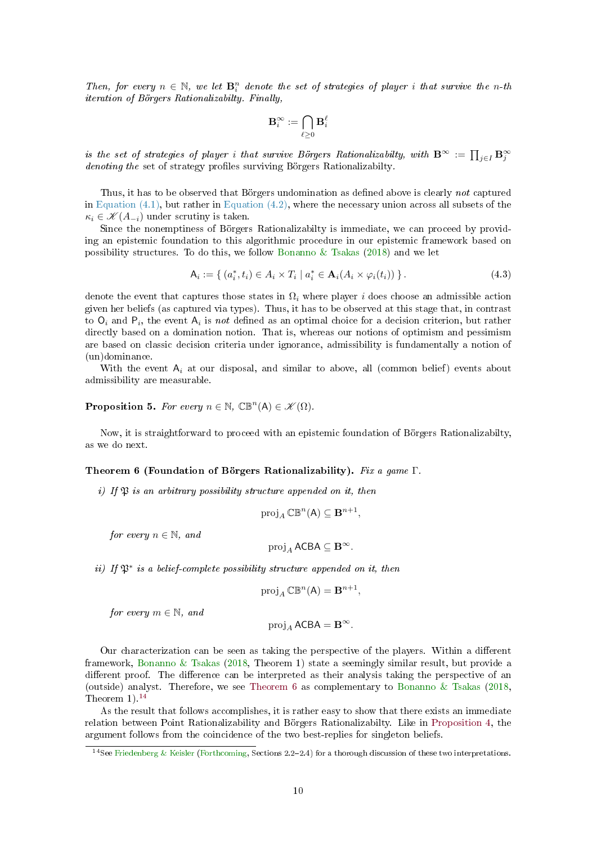<span id="page-9-5"></span>Then, for every  $n \in \mathbb{N}$ , we let  $\mathbf{B}_{i}^{n}$  denote the set of strategies of player i that survive the n-th iteration of Börgers Rationalizabilty. Finally,

$$
\mathbf{B}^{\infty}_i := \bigcap_{\ell \geq 0} \mathbf{B}^{\ell}_i
$$

is the set of strategies of player i that survive Börgers Rationalizabilty, with  $\mathbf{B}^\infty := \prod_{j\in I} \mathbf{B}^\infty_j$ denoting the set of strategy profiles surviving Börgers Rationalizabilty.

Thus, it has to be observed that Börgers undomination as defined above is clearly not captured in Equation  $(4.1)$ , but rather in Equation  $(4.2)$ , where the necessary union across all subsets of the  $\kappa_i \in \mathcal{K}(A_{-i})$  under scrutiny is taken.

Since the nonemptiness of Börgers Rationalizabilty is immediate, we can proceed by providing an epistemic foundation to this algorithmic procedure in our epistemic framework based on possibility structures. To do this, we follow [Bonanno & Tsakas](#page-18-3) [\(2018\)](#page-18-3) and we let

<span id="page-9-0"></span>
$$
\mathsf{A}_{i} := \{ (a_{i}^{*}, t_{i}) \in A_{i} \times T_{i} \mid a_{i}^{*} \in \mathbf{A}_{i}(A_{i} \times \varphi_{i}(t_{i})) \}.
$$
\n(4.3)

denote the event that captures those states in  $\Omega_i$  where player i does choose an admissible action given her beliefs (as captured via types). Thus, it has to be observed at this stage that, in contrast to  $O_i$  and  $P_i$ , the event  $A_i$  is not defined as an optimal choice for a decision criterion, but rather directly based on a domination notion. That is, whereas our notions of optimism and pessimism are based on classic decision criteria under ignorance, admissibility is fundamentally a notion of (un)dominance.

With the event  $A_i$  at our disposal, and similar to above, all (common belief) events about admissibility are measurable.

# <span id="page-9-4"></span>**Proposition 5.** For every  $n \in \mathbb{N}$ ,  $\mathbb{CB}^n(A) \in \mathcal{K}(\Omega)$ .

Now, it is straightforward to proceed with an epistemic foundation of Börgers Rationalizabilty, as we do next.

# <span id="page-9-2"></span>Theorem 6 (Foundation of Börgers Rationalizability). Fix a game Γ.

i) If  $\mathfrak P$  is an arbitrary possibility structure appended on it, then

$$
\operatorname{proj}_A \mathbb{CB}^n(\mathsf{A}) \subseteq \mathbf{B}^{n+1},
$$

for every  $n \in \mathbb{N}$ , and

$$
\operatorname{proj}_A \mathsf{ACBA} \subseteq \mathbf{B}^\infty.
$$

ii) If  $\mathfrak{P}^*$  is a belief-complete possibility structure appended on it, then

$$
\operatorname{proj}_A \mathbb{CB}^n(\mathsf{A}) = \mathbf{B}^{n+1},
$$

for every  $m \in \mathbb{N}$ , and

 $proj_A ACBA = B^{\infty}.$ 

Our characterization can be seen as taking the perspective of the players. Within a different framework, [Bonanno & Tsakas](#page-18-3) [\(2018,](#page-18-3) Theorem 1) state a seemingly similar result, but provide a different proof. The difference can be interpreted as their analysis taking the perspective of an (outside) analyst. Therefore, we see [Theorem 6](#page-9-2) as complementary to [Bonanno & Tsakas](#page-18-3) [\(2018,](#page-18-3) Theorem  $1$ ).<sup>[14](#page-9-3)</sup>

As the result that follows accomplishes, it is rather easy to show that there exists an immediate relation between Point Rationalizability and Börgers Rationalizabilty. Like in [Proposition 4,](#page-8-0) the argument follows from the coincidence of the two best-replies for singleton beliefs.

<span id="page-9-3"></span><span id="page-9-1"></span><sup>&</sup>lt;sup>14</sup> See [Friedenberg & Keisler](#page-19-12) [\(Forthcoming,](#page-19-12) Sections 2.2-2.4) for a thorough discussion of these two interpretations.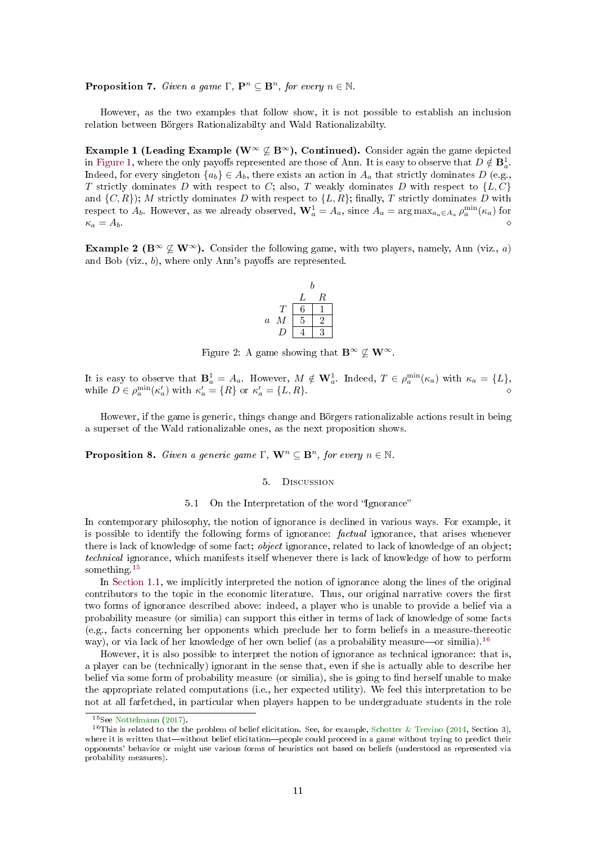<span id="page-10-6"></span>**Proposition 7.** Given a game  $\Gamma$ ,  $\mathbf{P}^n \subseteq \mathbf{B}^n$ , for every  $n \in \mathbb{N}$ .

However, as the two examples that follow show, it is not possible to establish an inclusion relation between Börgers Rationalizabilty and Wald Rationalizabilty.

Example 1 (Leading Example (W<sup>∞</sup>  $\nsubseteq$  B<sup>∞</sup>), Continued). Consider again the game depicted in [Figure 1,](#page-4-3) where the only payoffs represented are those of Ann. It is easy to observe that  $D \notin \mathbf{B}_a^1$ . Indeed, for every singleton  ${a_b} \in A_b$ , there exists an action in  $A_a$  that strictly dominates D (e.g., T strictly dominates D with respect to C; also, T weakly dominates D with respect to  $\{L, C\}$ and  $\{C, R\}$ ; M strictly dominates D with respect to  $\{L, R\}$ ; finally, T strictly dominates D with respect to  $A_b$ . However, as we already observed,  $\mathbf{W}_a^1 = A_a$ , since  $A_a = \arg \max_{a_a \in A_a} \rho_a^{\min}(\kappa_a)$  for  $\kappa_a = A_b.$ 

<span id="page-10-5"></span>**Example 2** ( $\mathbf{B}^{\infty} \nsubseteq \mathbf{W}^{\infty}$ ). Consider the following game, with two players, namely, Ann (viz., a) and Bob (viz.,  $b$ ), where only Ann's payoffs are represented.

$$
\begin{array}{c|cc}\n & b \\
 & L & R \\
\hline\nT & 6 & 1 \\
a & M & 5 & 2 \\
D & 4 & 3\n\end{array}
$$

<span id="page-10-4"></span>Figure 2: A game showing that  $\mathbf{B}^{\infty} \not\subset \mathbf{W}^{\infty}$ .

It is easy to observe that  $\mathbf{B}_a^1 = A_a$ . However,  $M \notin \mathbf{W}_a^1$ . Indeed,  $T \in \rho_a^{\min}(\kappa_a)$  with  $\kappa_a = \{L\},$ while  $D \in \rho_a^{\min}(\kappa_a')$  with  $\kappa_a' = \{R\}$  or  $\kappa_a' = \{L, R\}$ .

However, if the game is generic, things change and Börgers rationalizable actions result in being a superset of the Wald rationalizable ones, as the next proposition shows.

<span id="page-10-1"></span><span id="page-10-0"></span>**Proposition 8.** Given a generic game  $\Gamma$ ,  $\mathbf{W}^n \subset \mathbf{B}^n$ , for every  $n \in \mathbb{N}$ .

#### 5. Discussion

#### 5.1 On the Interpretation of the word "Ignorance"

In contemporary philosophy, the notion of ignorance is declined in various ways. For example, it is possible to identify the following forms of ignorance: factual ignorance, that arises whenever there is lack of knowledge of some fact; object ignorance, related to lack of knowledge of an object; technical ignorance, which manifests itself whenever there is lack of knowledge of how to perform something.<sup>[15](#page-10-2)</sup>

In [Section 1.1,](#page-0-2) we implicitly interpreted the notion of ignorance along the lines of the original contributors to the topic in the economic literature. Thus, our original narrative covers the first two forms of ignorance described above: indeed, a player who is unable to provide a belief via a probability measure (or similia) can support this either in terms of lack of knowledge of some facts (e.g., facts concerning her opponents which preclude her to form beliefs in a measure-thereotic way), or via lack of her knowledge of her own belief (as a probability measure—or similia).<sup>[16](#page-10-3)</sup>

However, it is also possible to interpret the notion of ignorance as technical ignorance: that is, a player can be (technically) ignorant in the sense that, even if she is actually able to describe her belief via some form of probability measure (or similia), she is going to find herself unable to make the appropriate related computations (i.e., her expected utility). We feel this interpretation to be not at all farfetched, in particular when players happen to be undergraduate students in the role

<span id="page-10-3"></span><span id="page-10-2"></span><sup>15</sup>See [Nottelmann](#page-19-13) [\(2017\)](#page-19-13).

<sup>&</sup>lt;sup>16</sup>This is related to the the problem of belief elicitation. See, for example, [Schotter & Trevino](#page-19-14) [\(2014,](#page-19-14) Section 3). where it is written that—without belief elicitation—people could proceed in a game without trying to predict their opponents' behavior or might use various forms of heuristics not based on beliefs (understood as represented via probability measures).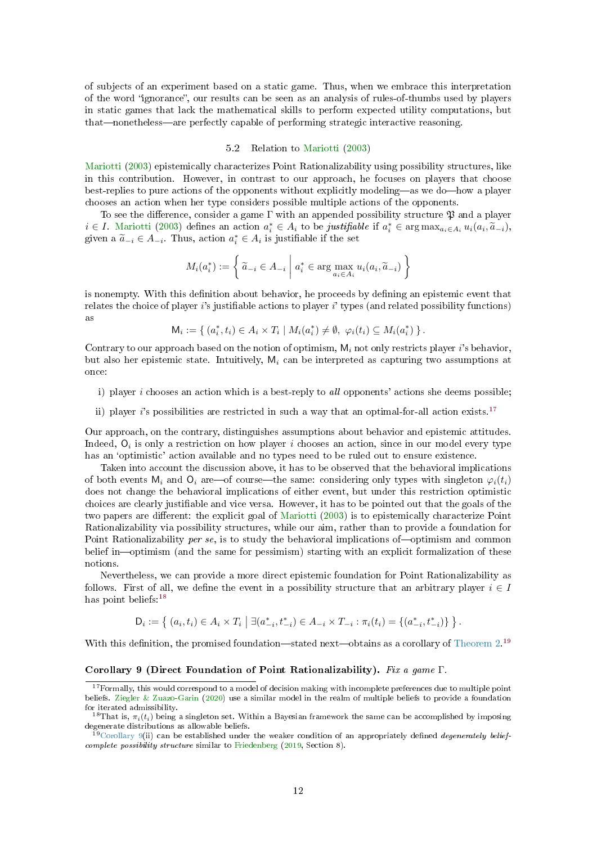<span id="page-11-5"></span>of subjects of an experiment based on a static game. Thus, when we embrace this interpretation of the word "ignorance", our results can be seen as an analysis of rules-of-thumbs used by players in static games that lack the mathematical skills to perform expected utility computations, but that—nonetheless—are perfectly capable of performing strategic interactive reasoning.

# 5.2 Relation to [Mariotti](#page-19-10) [\(2003\)](#page-19-10)

<span id="page-11-0"></span>[Mariotti](#page-19-10) [\(2003\)](#page-19-10) epistemically characterizes Point Rationalizability using possibility structures, like in this contribution. However, in contrast to our approach, he focuses on players that choose best-replies to pure actions of the opponents without explicitly modeling—as we do—how a player chooses an action when her type considers possible multiple actions of the opponents.

To see the difference, consider a game  $\Gamma$  with an appended possibility structure  $\mathfrak P$  and a player  $i \in I$ . [Mariotti](#page-19-10) [\(2003\)](#page-19-10) defines an action  $a_i^* \in A_i$  to be justifiable if  $a_i^* \in \arg \max_{a_i \in A_i} u_i(a_i, \tilde{a}_{-i})$ ,<br>given a  $\tilde{a}_{-i} \in A$ . Thus, action  $a^* \in A_i$  is justifiable if the set given a  $\tilde{a}_{-i} \in A_{-i}$ . Thus, action  $a_i^* \in A_i$  is justifiable if the set

$$
M_i(a_i^*) := \left\{ \left. \tilde{a}_{-i} \in A_{-i} \; \right| \; a_i^* \in \arg\max_{a_i \in A_i} u_i(a_i, \tilde{a}_{-i}) \right\}
$$

is nonempty. With this definition about behavior, he proceeds by defining an epistemic event that relates the choice of player  $i$ 's justifiable actions to player  $i$ ' types (and related possibility functions) as

$$
\mathsf{M}_i := \{ (a_i^*, t_i) \in A_i \times T_i \mid M_i(a_i^*) \neq \emptyset, \; \varphi_i(t_i) \subseteq M_i(a_i^*) \}.
$$

Contrary to our approach based on the notion of optimism,  $M_i$  not only restricts player i's behavior, but also her epistemic state. Intuitively,  $M_i$  can be interpreted as capturing two assumptions at once:

- i) player  $i$  chooses an action which is a best-reply to all opponents' actions she deems possible;
- ii) player i's possibilities are restricted in such a way that an optimal-for-all action exists.<sup>[17](#page-11-1)</sup>

Our approach, on the contrary, distinguishes assumptions about behavior and epistemic attitudes. Indeed,  $O_i$  is only a restriction on how player i chooses an action, since in our model every type has an 'optimistic' action available and no types need to be ruled out to ensure existence.

Taken into account the discussion above, it has to be observed that the behavioral implications of both events  $M_i$  and  $Q_i$  are—of course—the same: considering only types with singleton  $\varphi_i(t_i)$ does not change the behavioral implications of either event, but under this restriction optimistic choices are clearly justiable and vice versa. However, it has to be pointed out that the goals of the two papers are different: the explicit goal of [Mariotti](#page-19-10) [\(2003\)](#page-19-10) is to epistemically characterize Point Rationalizability via possibility structures, while our aim, rather than to provide a foundation for Point Rationalizability per se, is to study the behavioral implications of  $-$ optimism and common belief in—optimism (and the same for pessimism) starting with an explicit formalization of these notions.

Nevertheless, we can provide a more direct epistemic foundation for Point Rationalizability as follows. First of all, we define the event in a possibility structure that an arbitrary player  $i \in I$ has point beliefs:<sup>[18](#page-11-2)</sup>

$$
D_i := \left\{ (a_i, t_i) \in A_i \times T_i \mid \exists (a_{-i}^*, t_{-i}^*) \in A_{-i} \times T_{-i} : \pi_i(t_i) = \{(a_{-i}^*, t_{-i}^*)\} \right\}.
$$

<span id="page-11-4"></span>With this definition, the promised foundation—stated next—obtains as a corollary of [Theorem 2.](#page-6-1)<sup>[19](#page-11-3)</sup>

#### Corollary 9 (Direct Foundation of Point Rationalizability). Fix a game Γ.

<span id="page-11-1"></span> $17$  Formally, this would correspond to a model of decision making with incomplete preferences due to multiple point beliefs. [Ziegler & Zuazo-Garin](#page-20-3) [\(2020\)](#page-20-3) use a similar model in the realm of multiple beliefs to provide a foundation for iterated admissibility.

<span id="page-11-2"></span><sup>&</sup>lt;sup>18</sup>That is,  $\pi_i(t_i)$  being a singleton set. Within a Bayesian framework the same can be accomplished by imposing degenerate distributions as allowable beliefs.

<span id="page-11-3"></span> $19$ [Corollary 9\(](#page-11-4)ii) can be established under the weaker condition of an appropriately defined *degenerately belief*complete possibility structure similar to [Friedenberg](#page-19-15) [\(2019,](#page-19-15) Section 8).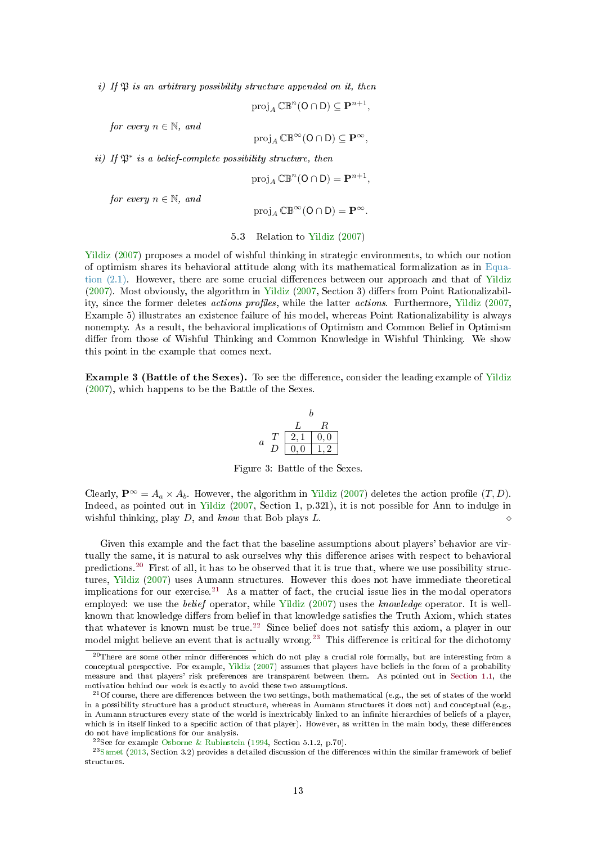<span id="page-12-5"></span>i) If  $\mathfrak{P}$  is an arbitrary possibility structure appended on it, then

$$
\operatorname{proj}_A \mathbb{CB}^n(\mathsf{O} \cap \mathsf{D}) \subseteq \mathbf{P}^{n+1},
$$

for every  $n \in \mathbb{N}$ , and

$$
\operatorname{proj}_A \mathbb{CB}^{\infty}(\mathsf{O} \cap \mathsf{D}) \subseteq \mathbf{P}^{\infty},
$$

ii) If  $\mathfrak{P}^*$  is a belief-complete possibility structure, then

$$
\operatorname{proj}_A \mathbb{CB}^n(\mathsf{O} \cap \mathsf{D}) = \mathbf{P}^{n+1},
$$

for every  $n \in \mathbb{N}$ , and

$$
\operatorname{proj}_A \mathbb{CB}^\infty(\mathsf{O} \cap \mathsf{D}) = \mathbf{P}^\infty.
$$

5.3 Relation to [Yildiz](#page-20-2) [\(2007\)](#page-20-2)

[Yildiz](#page-20-2) [\(2007\)](#page-20-2) proposes a model of wishful thinking in strategic environments, to which our notion of optimism shares its behavioral attitude along with its mathematical formalization as in [Equa](#page-4-0)tion  $(2.1)$ . However, there are some crucial differences between our approach and that of [Yildiz](#page-20-2)  $(2007)$ . Most obviously, the algorithm in [Yildiz](#page-20-2)  $(2007, Section 3)$  $(2007, Section 3)$  differs from Point Rationalizability, since the former deletes *actions profiles*, while the latter *actions*. Furthermore, [Yildiz](#page-20-2) [\(2007,](#page-20-2) Example 5) illustrates an existence failure of his model, whereas Point Rationalizability is always nonempty. As a result, the behavioral implications of Optimism and Common Belief in Optimism differ from those of Wishful Thinking and Common Knowledge in Wishful Thinking. We show this point in the example that comes next.

Example 3 (Battle of the Sexes). To see the difference, consider the leading example of [Yildiz](#page-20-2) [\(2007\)](#page-20-2), which happens to be the Battle of the Sexes.



<span id="page-12-4"></span>Figure 3: Battle of the Sexes.

Clearly,  $\mathbf{P}^{\infty} = A_a \times A_b$ . However, the algorithm in [Yildiz](#page-20-2) [\(2007\)](#page-20-2) deletes the action profile  $(T, D)$ . Indeed, as pointed out in [Yildiz](#page-20-2) [\(2007,](#page-20-2) Section 1, p.321), it is not possible for Ann to indulge in wishful thinking, play D, and know that Bob plays L.

Given this example and the fact that the baseline assumptions about players' behavior are virtually the same, it is natural to ask ourselves why this difference arises with respect to behavioral predictions.[20](#page-12-0) First of all, it has to be observed that it is true that, where we use possibility structures, [Yildiz](#page-20-2) [\(2007\)](#page-20-2) uses Aumann structures. However this does not have immediate theoretical implications for our exercise.<sup>[21](#page-12-1)</sup> As a matter of fact, the crucial issue lies in the modal operators employed: we use the belief operator, while [Yildiz](#page-20-2) [\(2007\)](#page-20-2) uses the knowledge operator. It is wellknown that knowledge differs from belief in that knowledge satisfies the Truth Axiom, which states that whatever is known must be true.<sup>[22](#page-12-2)</sup> Since belief does not satisfy this axiom, a player in our model might believe an event that is actually wrong.<sup>[23](#page-12-3)</sup> This difference is critical for the dichotomy

<span id="page-12-0"></span> $20$ There are some other minor differences which do not play a crucial role formally, but are interesting from a conceptual perspective. For example, [Yildiz](#page-20-2) [\(2007\)](#page-20-2) assumes that players have beliefs in the form of a probability measure and that players' risk preferences are transparent between them. As pointed out in [Section 1.1,](#page-0-2) the motivation behind our work is exactly to avoid these two assumptions.

<span id="page-12-1"></span><sup>&</sup>lt;sup>21</sup>Of course, there are differences between the two settings, both mathematical (e.g., the set of states of the world in a possibility structure has a product structure, whereas in Aumann structures it does not) and conceptual (e.g., in Aumann structures every state of the world is inextricably linked to an infinite hierarchies of beliefs of a player, which is in itself linked to a specific action of that player). However, as written in the main body, these differences do not have implications for our analysis.

<span id="page-12-3"></span><span id="page-12-2"></span><sup>&</sup>lt;sup>22</sup>See for example [Osborne & Rubinstein](#page-19-16) [\(1994,](#page-19-16) Section 5.1.2, p.70).

 $^{23}$ [Samet](#page-19-17) [\(2013,](#page-19-17) Section 3.2) provides a detailed discussion of the differences within the similar framework of belief structures.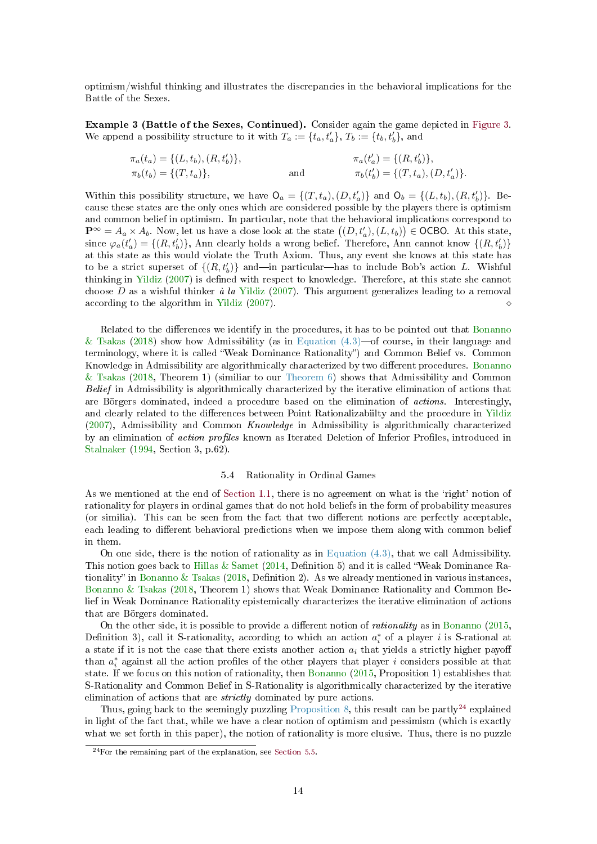<span id="page-13-2"></span>optimism/wishful thinking and illustrates the discrepancies in the behavioral implications for the Battle of the Sexes.

Example 3 (Battle of the Sexes, Continued). Consider again the game depicted in [Figure 3.](#page-12-4) We append a possibility structure to it with  $T_a := \{t_a, t'_a\}, T_b := \{t_b, t'_b\}$ , and

$$
\pi_a(t_a) = \{(L, t_b), (R, t'_b)\},
$$
  
\n
$$
\pi_b(t_b) = \{(T, t_a)\},
$$
  
\nand  
\n
$$
\pi_b(t'_b) = \{(T, t_a), (D, t'_a)\}.
$$

Within this possibility structure, we have  $\mathsf{O}_a = \{(T, t_a), (D, t'_a)\}\$ and  $\mathsf{O}_b = \{(L, t_b), (R, t'_b)\}\$ . Because these states are the only ones which are considered possible by the players there is optimism and common belief in optimism. In particular, note that the behavioral implications correspond to  $\mathbf{P}^{\infty} = A_a \times A_b$ . Now, let us have a close look at the state  $((D, t'_a), (L, t_b)) \in \mathsf{OCBO}$ . At this state, since  $\varphi_a(t'_a) = \{(R, t'_b)\},$  Ann clearly holds a wrong belief. Therefore, Ann cannot know  $\{(R, t'_b)\}$ at this state as this would violate the Truth Axiom. Thus, any event she knows at this state has to be a strict superset of  $\{(R, t'_b)\}\$  and—in particular—has to include Bob's action L. Wishful thinking in [Yildiz](#page-20-2) [\(2007\)](#page-20-2) is defined with respect to knowledge. Therefore, at this state she cannot choose  $D$  as a wishful thinker à la [Yildiz](#page-20-2) [\(2007\)](#page-20-2). This argument generalizes leading to a removal according to the algorithm in [Yildiz](#page-20-2) [\(2007\)](#page-20-2).

Related to the differences we identify in the procedures, it has to be pointed out that [Bonanno](#page-18-3) [& Tsakas](#page-18-3) [\(2018\)](#page-18-3) show how Admissibility (as in Equation  $(4.3)$ —of course, in their language and terminology, where it is called "Weak Dominance Rationality") and Common Belief vs. Common Knowledge in Admissibility are algorithmically characterized by two different procedures. [Bonanno](#page-18-3) [& Tsakas](#page-18-3) [\(2018,](#page-18-3) Theorem 1) (similiar to our [Theorem 6\)](#page-9-2) shows that Admissibility and Common Belief in Admissibility is algorithmically characterized by the iterative elimination of actions that are Börgers dominated, indeed a procedure based on the elimination of actions. Interestingly, and clearly related to the differences between Point Rationalizabiilty and the procedure in [Yildiz](#page-20-2)  $(2007)$ , Admissibility and Common Knowledge in Admissibility is algorithmically characterized by an elimination of *action profiles* known as Iterated Deletion of Inferior Profiles, introduced in [Stalnaker](#page-19-18) [\(1994,](#page-19-18) Section 3, p.62).

# 5.4 Rationality in Ordinal Games

<span id="page-13-0"></span>As we mentioned at the end of [Section 1.1,](#page-0-2) there is no agreement on what is the 'right' notion of rationality for players in ordinal games that do not hold beliefs in the form of probability measures (or similia). This can be seen from the fact that two different notions are perfectly acceptable, each leading to different behavioral predictions when we impose them along with common belief in them.

On one side, there is the notion of rationality as in [Equation \(4.3\),](#page-9-0) that we call Admissibility. This notion goes back to [Hillas & Samet](#page-19-19) [\(2014,](#page-19-19) Definition 5) and it is called "Weak Dominance Ra-tionality" in [Bonanno & Tsakas](#page-18-3) [\(2018,](#page-18-3) Definition 2). As we already mentioned in various instances, [Bonanno & Tsakas](#page-18-3) [\(2018,](#page-18-3) Theorem 1) shows that Weak Dominance Rationality and Common Belief in Weak Dominance Rationality epistemically characterizes the iterative elimination of actions that are Börgers dominated.

On the other side, it is possible to provide a different notion of *rationality* as in [Bonanno](#page-18-6)  $(2015, 000)$  $(2015, 000)$ Definition 3), call it S-rationality, according to which an action  $a_i^*$  of a player i is S-rational at a state if it is not the case that there exists another action  $a_i$  that yields a strictly higher payoff than  $a_i^*$  against all the action profiles of the other players that player i considers possible at that state. If we focus on this notion of rationality, then [Bonanno](#page-18-6) [\(2015,](#page-18-6) Proposition 1) establishes that S-Rationality and Common Belief in S-Rationality is algorithmically characterized by the iterative elimination of actions that are strictly dominated by pure actions.

Thus, going back to the seemingly puzzling [Proposition 8,](#page-10-0) this result can be partly<sup>[24](#page-13-1)</sup> explained in light of the fact that, while we have a clear notion of optimism and pessimism (which is exactly what we set forth in this paper), the notion of rationality is more elusive. Thus, there is no puzzle

<span id="page-13-1"></span> $^{24}$  For the remaining part of the explanation, see [Section 5.5.](#page-14-0)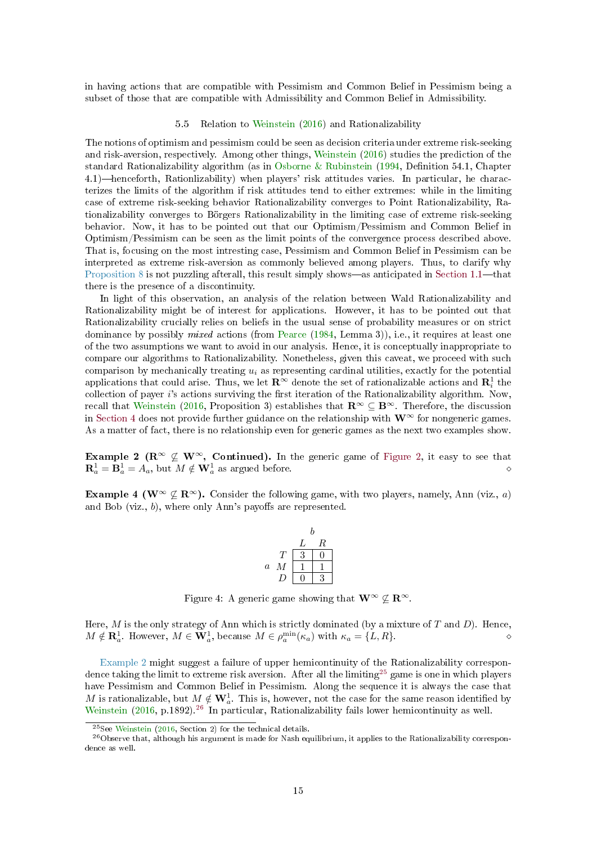<span id="page-14-4"></span>in having actions that are compatible with Pessimism and Common Belief in Pessimism being a subset of those that are compatible with Admissibility and Common Belief in Admissibility.

#### 5.5 Relation to [Weinstein](#page-20-1) [\(2016\)](#page-20-1) and Rationalizability

<span id="page-14-0"></span>The notions of optimism and pessimism could be seen as decision criteria under extreme risk-seeking and risk-aversion, respectively. Among other things, [Weinstein](#page-20-1) [\(2016\)](#page-20-1) studies the prediction of the standard Rationalizability algorithm (as in [Osborne & Rubinstein](#page-19-16)  $(1994,$  Definition 54.1, Chapter 4.1)—henceforth, Rationlizability) when players' risk attitudes varies. In particular, he characterizes the limits of the algorithm if risk attitudes tend to either extremes: while in the limiting case of extreme risk-seeking behavior Rationalizability converges to Point Rationalizability, Rationalizability converges to Börgers Rationalizability in the limiting case of extreme risk-seeking behavior. Now, it has to be pointed out that our Optimism/Pessimism and Common Belief in Optimism/Pessimism can be seen as the limit points of the convergence process described above. That is, focusing on the most intresting case, Pessimism and Common Belief in Pessimism can be interpreted as extreme risk-aversion as commonly believed among players. Thus, to clarify why [Proposition 8](#page-10-0) is not puzzling afterall, this result simply shows—as anticipated in Section  $1.1$ —that there is the presence of a discontinuity.

In light of this observation, an analysis of the relation between Wald Rationalizability and Rationalizability might be of interest for applications. However, it has to be pointed out that Rationalizability crucially relies on beliefs in the usual sense of probability measures or on strict dominance by possibly *mixed* actions (from [Pearce](#page-19-20) [\(1984,](#page-19-20) Lemma 3)), i.e., it requires at least one of the two assumptions we want to avoid in our analysis. Hence, it is conceptually inappropriate to compare our algorithms to Rationalizability. Nonetheless, given this caveat, we proceed with such comparison by mechanically treating  $u_i$  as representing cardinal utilities, exactly for the potential applications that could arise. Thus, we let  $\mathbf{R}^{\infty}$  denote the set of rationalizable actions and  $\mathbf{R}^1_i$  the collection of payer  $i$ 's actions surviving the first iteration of the Rationalizability algorithm. Now, recall that [Weinstein](#page-20-1) [\(2016,](#page-20-1) Proposition 3) establishes that  $\mathbb{R}^{\infty} \subseteq \mathbb{B}^{\infty}$ . Therefore, the discussion in [Section 4](#page-8-2) does not provide further guidance on the relationship with  $W^{\infty}$  for nongeneric games. As a matter of fact, there is no relationship even for generic games as the next two examples show.

Example 2 ( $\mathbb{R}^{\infty} \nsubseteq \mathbb{W}^{\infty}$ , Continued). In the generic game of [Figure 2,](#page-10-4) it easy to see that  $\mathbf{R}_a^1 = \mathbf{B}_a^1 = A_a$ , but  $M \notin \mathbf{W}_a^1$  as argued before.

<span id="page-14-3"></span>**Example 4 (W**<sup>∞</sup>  $\nsubseteq$  **R**<sup>∞</sup>). Consider the following game, with two players, namely, Ann (viz., *a*) and Bob (viz.,  $b$ ), where only Ann's payoffs are represented.

|                  |   | b |   |  |
|------------------|---|---|---|--|
|                  |   | L | R |  |
|                  | T | 3 |   |  |
| $\boldsymbol{a}$ | М |   |   |  |
|                  |   |   |   |  |

Figure 4: A generic game showing that  $\mathbf{W}^{\infty} \nsubseteq \mathbf{R}^{\infty}$ .

Here,  $M$  is the only strategy of Ann which is strictly dominated (by a mixture of  $T$  and  $D$ ). Hence,  $M \notin \mathbf{R}_{a}^{1}$ . However,  $M \in \mathbf{W}_{a}^{1}$ , because  $M \in \rho_{a}^{\min}(\kappa_{a})$  with  $\kappa_{a} = \{L, R\}$ .

[Example 2](#page-10-5) might suggest a failure of upper hemicontinuity of the Rationalizability correspon-dence taking the limit to extreme risk aversion. After all the limiting<sup>[25](#page-14-1)</sup> game is one in which players have Pessimism and Common Belief in Pessimism. Along the sequence it is always the case that M is rationalizable, but  $M \notin \mathbf{W}_{a}^1$ . This is, however, not the case for the same reason identified by [Weinstein](#page-20-1) [\(2016,](#page-20-1) p.1892).<sup>[26](#page-14-2)</sup> In particular, Rationalizability fails lower hemicontinuity as well.

<span id="page-14-2"></span><span id="page-14-1"></span><sup>25</sup>See [Weinstein](#page-20-1) [\(2016,](#page-20-1) Section 2) for the technical details.

 $^{26}$ Observe that, although his argument is made for Nash equilibrium, it applies to the Rationalizability correspondence as well.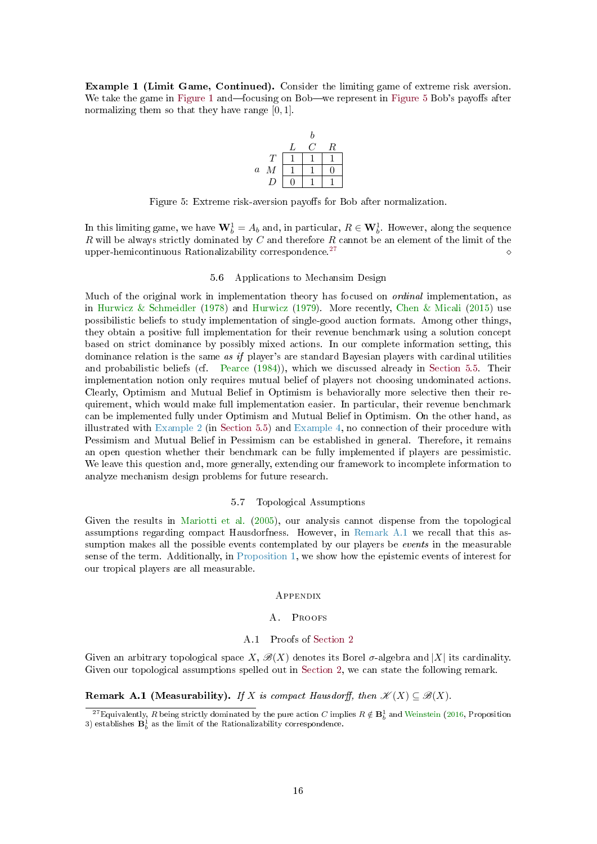<span id="page-15-5"></span>Example 1 (Limit Game, Continued). Consider the limiting game of extreme risk aversion. We take the game in [Figure 1](#page-4-3) and focusing on Bob—we represent in [Figure 5](#page-15-2) Bob's payoffs after normalizing them so that they have range [0, 1].



<span id="page-15-2"></span>Figure 5: Extreme risk-aversion payoffs for Bob after normalization.

In this limiting game, we have  $\mathbf{W}_b^1 = A_b$  and, in particular,  $R \in \mathbf{W}_b^1$ . However, along the sequence R will be always strictly dominated by C and therefore R cannot be an element of the limit of the upper-hemicontinuous Rationalizability correspondence.<sup>[27](#page-15-3)</sup>

#### 5.6 Applications to Mechansim Design

Much of the original work in implementation theory has focused on ordinal implementation, as in [Hurwicz & Schmeidler](#page-19-21) [\(1978\)](#page-19-21) and [Hurwicz](#page-19-22) [\(1979\)](#page-19-22). More recently, [Chen & Micali](#page-18-5) [\(2015\)](#page-18-5) use possibilistic beliefs to study implementation of single-good auction formats. Among other things, they obtain a positive full implementation for their revenue benchmark using a solution concept based on strict dominance by possibly mixed actions. In our complete information setting, this dominance relation is the same as if player's are standard Bayesian players with cardinal utilities and probabilistic beliefs (cf. [Pearce](#page-19-20) [\(1984\)](#page-19-20)), which we discussed already in [Section 5.5.](#page-14-0) Their implementation notion only requires mutual belief of players not choosing undominated actions. Clearly, Optimism and Mutual Belief in Optimism is behaviorally more selective then their requirement, which would make full implementation easier. In particular, their revenue benchmark can be implemented fully under Optimism and Mutual Belief in Optimism. On the other hand, as illustrated with [Example 2](#page-10-5) (in [Section 5.5\)](#page-14-0) and [Example 4,](#page-14-3) no connection of their procedure with Pessimism and Mutual Belief in Pessimism can be established in general. Therefore, it remains an open question whether their benchmark can be fully implemented if players are pessimistic. We leave this question and, more generally, extending our framework to incomplete information to analyze mechanism design problems for future research.

# 5.7 Topological Assumptions

Given the results in [Mariotti et al.](#page-19-6) [\(2005\)](#page-19-6), our analysis cannot dispense from the topological assumptions regarding compact Hausdorfness. However, in [Remark A.1](#page-15-4) we recall that this assumption makes all the possible events contemplated by our players be events in the measurable sense of the term. Additionally, in [Proposition 1,](#page-5-1) we show how the epistemic events of interest for our tropical players are all measurable.

#### **APPENDIX**

# A. Proofs

# A.1 Proofs of [Section 2](#page-3-1)

<span id="page-15-1"></span><span id="page-15-0"></span>Given an arbitrary topological space  $X, \mathcal{B}(X)$  denotes its Borel  $\sigma$ -algebra and  $|X|$  its cardinality. Given our topological assumptions spelled out in [Section 2,](#page-3-1) we can state the following remark.

# <span id="page-15-4"></span>Remark A.1 (Measurability). If X is compact Hausdorff, then  $\mathscr{K}(X) \subseteq \mathscr{B}(X)$ .

<span id="page-15-3"></span> $^{27}$ Equivalently,  $R$  being strictly dominated by the pure action  $C$  implies  $R \notin \mathbf{B}^1_b$  and [Weinstein](#page-20-1) [\(2016,](#page-20-1) Proposition 3) establishes  $\mathbf{B}_b^1$  as the limit of the Rationalizability correspondence.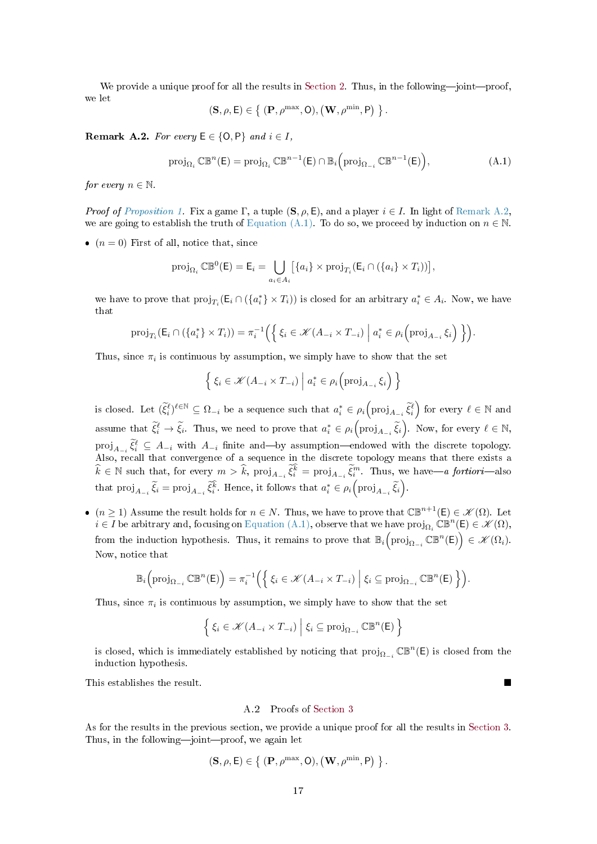We provide a unique proof for all the results in [Section 2.](#page-3-1) Thus, in the following-joint-proof, we let

$$
(\mathbf{S},\rho,\mathsf{E})\in\left\{\right.(\mathbf{P},\rho^{\max},\mathsf{O}),\left(\mathbf{W},\rho^{\min},\mathsf{P}\right)\left.\right\}.
$$

<span id="page-16-1"></span>Remark A.2. For every  $E \in \{O, P\}$  and  $i \in I$ ,

<span id="page-16-2"></span>
$$
\operatorname{proj}_{\Omega_i} \mathbb{CB}^n(\mathsf{E}) = \operatorname{proj}_{\Omega_i} \mathbb{CB}^{n-1}(\mathsf{E}) \cap \mathbb{B}_i \left( \operatorname{proj}_{\Omega_{-i}} \mathbb{CB}^{n-1}(\mathsf{E}) \right), \tag{A.1}
$$

for every  $n \in \mathbb{N}$ .

*Proof of [Proposition 1.](#page-5-1)* Fix a game Γ, a tuple  $(S, \rho, E)$ , and a player  $i \in I$ . In light of [Remark A.2,](#page-16-1) we are going to establish the truth of [Equation \(A.1\).](#page-16-2) To do so, we proceed by induction on  $n \in \mathbb{N}$ .

•  $(n = 0)$  First of all, notice that, since

$$
\operatorname{proj}_{\Omega_i} \mathbb{CB}^0(\mathsf{E}) = \mathsf{E}_i = \bigcup_{a_i \in A_i} \big[ \{ a_i \} \times \operatorname{proj}_{T_i}(\mathsf{E}_i \cap (\{ a_i \} \times T_i)) \big],
$$

we have to prove that  $proj_{T_i}(\mathsf{E}_i \cap (\{a_i^*\} \times T_i))$  is closed for an arbitrary  $a_i^* \in A_i$ . Now, we have that

$$
\operatorname{proj}_{T_i}(\mathsf{E}_i \cap (\{a_i^*\} \times T_i)) = \pi_i^{-1}\left(\left\{\xi_i \in \mathcal{K}(A_{-i} \times T_{-i}) \mid a_i^* \in \rho_i\left(\operatorname{proj}_{A_{-i}} \xi_i\right)\right\}\right).
$$

Thus, since  $\pi_i$  is continuous by assumption, we simply have to show that the set

$$
\left\{ \xi_i \in \mathcal{K}(A_{-i} \times T_{-i}) \mid a_i^* \in \rho_i \left( \text{proj}_{A_{-i}} \xi_i \right) \right\}
$$

is closed. Let  $(\widetilde{\xi}_i^{\ell})^{\ell \in \mathbb{N}} \subseteq \Omega_{-i}$  be a sequence such that  $a_i^* \in \rho_i(\text{proj}_{A_{-i}} \widetilde{\xi}_i^{\ell})$  for every  $\ell \in \mathbb{N}$  and assume that  $\widetilde{\xi}_i^{\ell} \to \widetilde{\xi}_i$ . Thus, we need to prove that  $a_i^* \in \rho_i\Big(\text{proj}_{A_{-i}} \widetilde{\xi}_i\Big)$ . Now, for every  $\ell \in \mathbb{N}$ ,  $proj_{A_{-i}} \tilde{\xi}_i^{\ell} \subseteq A_{-i}$  with  $A_{-i}$  finite and—by assumption—endowed with the discrete topology. Also, recall that convergence of a sequence in the discrete topology means that there exists a  $\hat{k} \in \mathbb{N}$  such that, for every  $m > \hat{k}$ ,  $\text{proj}_{A_{-i}} \tilde{\xi}_i^{\hat{k}} = \text{proj}_{A_{-i}} \tilde{\xi}_i^m$ . Thus, we have—a fortiori—also that  $\text{proj}_{A_{-i}}\, \widetilde{\xi}_i = \text{proj}_{A_{-i}}\, \widetilde{\xi}_i^{\widehat{k}}$ . Hence, it follows that  $a_i^* \in \rho_i \left( \text{proj}_{A_{-i}} \, \widetilde{\xi}_i \right)$ .

•  $(n \geq 1)$  Assume the result holds for  $n \in N$ . Thus, we have to prove that  $\mathbb{CB}^{n+1}(\mathsf{E}) \in \mathscr{K}(\Omega)$ . Let  $i\in I$  be arbitrary and, focusing on [Equation \(A.1\),](#page-16-2) observe that we have  $\text{proj}_{\Omega_i} \mathbb{CB}^n(\mathsf{E}) \in \mathscr{K}(\Omega),$ from the induction hypothesis. Thus, it remains to prove that  $\mathbb{B}_i\left(\text{proj}_{\Omega_{-i}}\mathbb{CB}^n(\mathsf{E})\right)\in\mathscr{K}(\Omega_i).$ Now, notice that

$$
\mathbb{B}_i\Big(\text{proj}_{\Omega_{-i}}\mathbb{CB}^n(\mathsf{E})\Big)=\pi_i^{-1}\Big(\Big\{\,\xi_i\in\mathscr{K}(A_{-i}\times T_{-i})\;\Big|\;\xi_i\subseteq\text{proj}_{\Omega_{-i}}\mathbb{CB}^n(\mathsf{E})\,\Big\}\Big).
$$

Thus, since  $\pi_i$  is continuous by assumption, we simply have to show that the set

$$
\left\{ \xi_i \in \mathcal{K}(A_{-i} \times T_{-i}) \; \middle| \; \xi_i \subseteq \text{proj}_{\Omega_{-i}} \mathbb{CB}^n(\mathsf{E}) \right\}
$$

is closed, which is immediately established by noticing that  $\text{proj}_{\Omega_{-i}} \mathbb{CB}^n(\mathsf{E})$  is closed from the induction hypothesis.

<span id="page-16-0"></span>This establishes the result.

# A.2 Proofs of [Section 3](#page-6-2)

As for the results in the previous section, we provide a unique proof for all the results in [Section 3.](#page-6-2) Thus, in the following-joint-proof, we again let

$$
\left(\mathbf{S},\rho,E\right)\in\left\{\right. \left(\mathbf{P},\rho^{\max},\mathsf{O}\right),\left(\mathbf{W},\rho^{\min},\mathsf{P}\right)\left.\right\}.
$$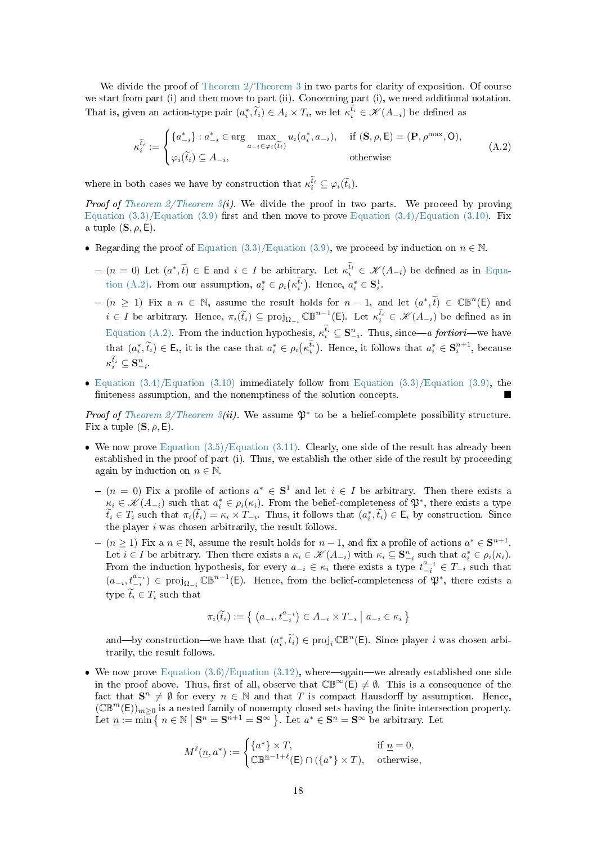We divide the proof of [Theorem 2](#page-6-1)[/Theorem 3](#page-7-1) in two parts for clarity of exposition. Of course we start from part (i) and then move to part (ii). Concerning part (i), we need additional notation. That is, given an action-type pair  $(a_i^*, \tilde{t}_i) \in A_i \times T_i$ , we let  $\kappa_i^{t_i} \in \mathscr{K}(A_{-i})$  be defined as

<span id="page-17-0"></span>
$$
\kappa_i^{\tilde{t}_i} := \begin{cases}\n\{a_{-i}^*\} : a_{-i}^* \in \arg\max_{a_{-i} \in \varphi_i(\tilde{t}_i)} u_i(a_i^*, a_{-i}), & \text{if } (\mathbf{S}, \rho, \mathsf{E}) = (\mathbf{P}, \rho^{\max}, \mathsf{O}), \\
\varphi_i(\tilde{t}_i) \subseteq A_{-i}, & \text{otherwise}\n\end{cases} \tag{A.2}
$$

where in both cases we have by construction that  $\kappa_i^{t_i} \subseteq \varphi_i(\widetilde{t}_i)$ .

Proof of Theorem  $2/$ Theorem  $3(i)$ . We divide the proof in two parts. We proceed by proving Equation  $(3.3)/E$ quation  $(3.9)$  first and then move to prove Equation  $(3.4)/E$ quation  $(3.10)$ . Fix a tuple  $(\mathbf{S}, \rho, \mathsf{E})$ .

- Regarding the proof of [Equation \(3.3\)/](#page-6-4)[Equation \(3.9\),](#page-7-2) we proceed by induction on  $n \in \mathbb{N}$ .
	- $(n = 0)$  Let  $(a^*, \tilde{t}) \in \mathsf{E}$  and  $i \in I$  be arbitrary. Let  $\kappa_i^{\tilde{t}_i} \in \mathscr{K}(A_{-i})$  be defined as in [Equa](#page-17-0)[tion \(A.2\).](#page-17-0) From our assumption,  $a_i^* \in \rho_i(\kappa_i^{t_i})$ . Hence,  $a_i^* \in \mathbf{S}_i^1$ .
	- $-(n \geq 1)$  Fix a  $n \in \mathbb{N}$ , assume the result holds for  $n-1$ , and let  $(a^*, \tilde{t}) \in \mathbb{CB}^n(\mathsf{E})$  and  $i \in I$  be arbitrary. Hence,  $\pi_i(\tilde{t}_i) \subseteq \text{proj}_{\Omega_{-i}} \mathbb{CB}^{n-1}(\mathsf{E})$ . Let  $\kappa_i^{\tilde{t}_i} \in \mathscr{K}(A_{-i})$  be defined as in [Equation \(A.2\).](#page-17-0) From the induction hypothesis,  $\kappa_i^{t_i} \subseteq \mathbf{S}_{-i}^n$ . Thus, since—a fortiori—we have that  $(a_i^*, \tilde{t}_i) \in \mathsf{E}_i$ , it is the case that  $a_i^* \in \rho_i(\kappa_i^{t_i})$ . Hence, it follows that  $a_i^* \in \mathbf{S}_i^{n+1}$ , because  $\kappa_i^{t_i} \subseteq \mathbf{S}^n_{-i}.$
- Equation  $(3.4)/$ Equation  $(3.10)$  immediately follow from Equation  $(3.3)/$ Equation  $(3.9)$ , the finiteness assumption, and the nonemptiness of the solution concepts.

*Proof of [Theorem 2](#page-6-1)[/Theorem 3\(](#page-7-1)ii).* We assume  $\mathfrak{P}^*$  to be a belief-complete possibility structure. Fix a tuple  $(\mathbf{S}, \rho, \mathbf{E})$ .

- $\bullet$  We now prove [Equation \(3.5\)/](#page-7-4)[Equation \(3.11\).](#page-8-6) Clearly, one side of the result has already been established in the proof of part (i). Thus, we establish the other side of the result by proceeding again by induction on  $n \in \mathbb{N}$ .
	- $-(n = 0)$  Fix a profile of actions  $a^* \in S^1$  and let  $i \in I$  be arbitrary. Then there exists a  $\kappa_i \in \mathscr{K}(A_{-i})$  such that  $a_i^* \in \rho_i(\kappa_i)$ . From the belief-completeness of  $\mathfrak{P}^*$ , there exists a type  $\widetilde{t}_i \in T_i$  such that  $\pi_i(\widetilde{t}_i) = \kappa_i \times T_{-i}$ . Thus, it follows that  $(a_i^*, \widetilde{t}_i) \in \mathsf{E}_i$  by construction. Since the player  $i$  was chosen arbitrarily, the result follows.
	- $(n \geq 1)$  Fix a  $n \in \mathbb{N}$ , assume the result holds for  $n-1$ , and fix a profile of actions  $a^* \in \mathbf{S}^{n+1}$ . Let  $i \in I$  be arbitrary. Then there exists a  $\kappa_i \in \mathcal{K}(A_{-i})$  with  $\kappa_i \subseteq \mathbf{S}_{-i}^n$  such that  $a_i^* \in \rho_i(\kappa_i)$ . From the induction hypothesis, for every  $a_{-i} \in \kappa_i$  there exists a type  $t_{-i}^{a_{-i}} \in T_{-i}$  such that  $(a_{-i}, t_{-i}^{a_{-i}})$  ∈ proj<sub>Ω<sub>-i</sub></sub>  $\mathbb{CB}^{n-1}(\mathsf{E})$ . Hence, from the belief-completeness of  $\mathfrak{P}^*$ , there exists a type  $\widetilde{t}_i \in T_i$  such that

$$
\pi_i(\widetilde{t}_i) := \left\{ \left( a_{-i}, t_{-i}^{a_{-i}} \right) \in A_{-i} \times T_{-i} \mid a_{-i} \in \kappa_i \right\}
$$

and—by construction—we have that  $(a_i^*, \tilde{t}_i) \in \text{proj}_i \mathbb{CB}^n(\mathsf{E})$ . Since player i was chosen arbitrarily, the result follows.

• We now prove Equation  $(3.6)/E$ quation  $(3.12)$ , where—again—we already established one side in the proof above. Thus, first of all, observe that  $\mathbb{CB}^{\infty}(E) \neq \emptyset$ . This is a consequence of the fact that  $\mathbf{S}^n \neq \emptyset$  for every  $n \in \mathbb{N}$  and that T is compact Hausdorff by assumption. Hence,  $(\mathbb{CB}^m(\mathsf{E}))_{m\geq 0}$  is a nested family of nonempty closed sets having the finite intersection property. Let  $\underline{n} := \min \{ n \in \mathbb{N} \mid \mathbf{S}^n = \mathbf{S}^{n+1} = \mathbf{S}^{\infty} \}$ . Let  $a^* \in \mathbf{S}^n = \mathbf{S}^{\infty}$  be arbitrary. Let

$$
M^{\ell}(\underline{n}, a^*) := \begin{cases} \{a^*\} \times T, & \text{if } \underline{n} = 0, \\ \mathbb{C} \mathbb{B}^{\underline{n}-1+\ell}(\mathsf{E}) \cap (\{a^*\} \times T), & \text{otherwise,} \end{cases}
$$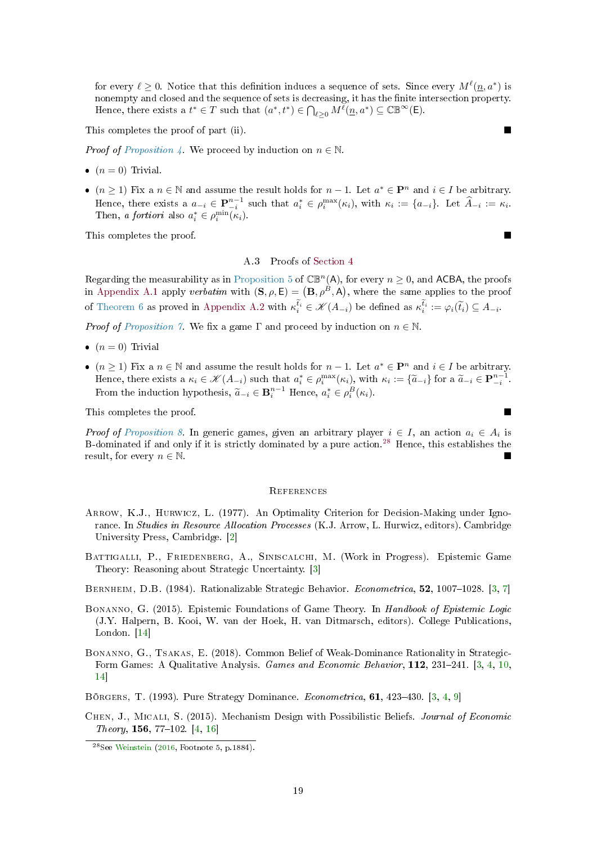<span id="page-18-8"></span>for every  $\ell \geq 0$ . Notice that this definition induces a sequence of sets. Since every  $M^{\ell}(n, a^*)$  is nonempty and closed and the sequence of sets is decreasing, it has the finite intersection property. Hence, there exists a  $t^* \in T$  such that  $(a^*, t^*) \in \bigcap_{\ell \geq 0} M^{\ell}(\underline{n}, a^*) \subseteq \mathbb{CB}^{\infty}(\mathsf{E})$ .

This completes the proof of part (ii).

*Proof of [Proposition 4.](#page-8-0)* We proceed by induction on  $n \in \mathbb{N}$ .

- $(n = 0)$  Trivial.
- $(n \geq 1)$  Fix a  $n \in \mathbb{N}$  and assume the result holds for  $n-1$ . Let  $a^* \in \mathbf{P}^n$  and  $i \in I$  be arbitrary. Hence, there exists a  $a_{-i} \in \mathbf{P}_{-i}^{n-1}$  such that  $a_i^* \in \rho_i^{\max}(\kappa_i)$ , with  $\kappa_i := \{a_{-i}\}\)$ . Let  $\widehat{A}_{-i} := \kappa_i$ . Then, *a fortiori* also  $a_i^* \in \rho_i^{\min}(\kappa_i)$ .

This completes the proof.

#### A.3 Proofs of [Section 4](#page-8-2)

Regarding the measurability as in [Proposition 5](#page-9-4) of  $\mathbb{CB}^n(A)$ , for every  $n \geq 0$ , and ACBA, the proofs in [Appendix A.1](#page-15-1) apply verbatim with  $(S, \rho, E) = (B, \rho^B, A)$ , where the same applies to the proof of [Theorem 6](#page-9-2) as proved in [Appendix A.2](#page-16-0) with  $\kappa_i^{t_i} \in \mathcal{K}(A_{-i})$  be defined as  $\kappa_i^{t_i} := \varphi_i(\widetilde{t}_i) \subseteq A_{-i}$ .

*Proof of [Proposition 7.](#page-9-1)* We fix a game  $\Gamma$  and proceed by induction on  $n \in \mathbb{N}$ .

- $(n = 0)$  Trivial
- $(n \geq 1)$  Fix a  $n \in \mathbb{N}$  and assume the result holds for  $n-1$ . Let  $a^* \in \mathbf{P}^n$  and  $i \in I$  be arbitrary. Hence, there exists a  $\kappa_i \in \mathcal{K}(A_{-i})$  such that  $a_i^* \in \rho_i^{\max}(\kappa_i)$ , with  $\kappa_i := {\tilde{a}_{-i}}$  for a  $\tilde{a}_{-i} \in \mathbf{P}_{-i}^{n-1}$ . From the induction hypothesis,  $\widetilde{a}_{-i} \in \mathbf{B}_{i}^{n-1}$  Hence,  $a_i^* \in \rho_i^B(\kappa_i)$ .

This completes the proof.

*Proof of [Proposition 8.](#page-10-0)* In generic games, given an arbitrary player  $i \in I$ , an action  $a_i \in A_i$  is B-dominated if and only if it is strictly dominated by a pure action.[28](#page-18-7) Hence, this establishes the result, for every  $n \in \mathbb{N}$ .

#### **REFERENCES**

- <span id="page-18-0"></span>Arrow, K.J., Hurwicz, L. (1977). An Optimality Criterion for Decision-Making under Ignorance. In Studies in Resource Allocation Processes (K.J. Arrow, L. Hurwicz, editors). Cambridge University Press, Cambridge. [\[2\]](#page-1-3)
- <span id="page-18-4"></span>Battigalli, P., Friedenberg, A., Siniscalchi, M. (Work in Progress). Epistemic Game Theory: Reasoning about Strategic Uncertainty. [\[3\]](#page-2-5)
- <span id="page-18-1"></span>BERNHEIM, D.B. (1984). Rationalizable Strategic Behavior. Econometrica, 52, 1007-1028. [\[3,](#page-2-5) [7\]](#page-6-6)
- <span id="page-18-6"></span>BONANNO, G. (2015). Epistemic Foundations of Game Theory. In Handbook of Epistemic Logic (J.Y. Halpern, B. Kooi, W. van der Hoek, H. van Ditmarsch, editors). College Publications, London. [\[14\]](#page-13-2)
- <span id="page-18-3"></span>Bonanno, G., Tsakas, E. (2018). Common Belief of Weak-Dominance Rationality in Strategic-Form Games: A Qualitative Analysis. Games and Economic Behavior, 112, 231-241. [\[3,](#page-2-5) [4,](#page-3-3) [10,](#page-9-5) [14\]](#page-13-2)
- <span id="page-18-2"></span>BÖRGERS, T. (1993). Pure Strategy Dominance. *Econometrica*, **61**, 423–430. [\[3,](#page-2-5) [4,](#page-3-3) [9\]](#page-8-8)
- <span id="page-18-5"></span>CHEN, J., MICALI, S. (2015). Mechanism Design with Possibilistic Beliefs. Journal of Economic Theory, 156, 77-102. [\[4,](#page-3-3) [16\]](#page-15-5)

<span id="page-18-7"></span><sup>28</sup>See [Weinstein](#page-20-1) [\(2016,](#page-20-1) Footnote 5, p.1884).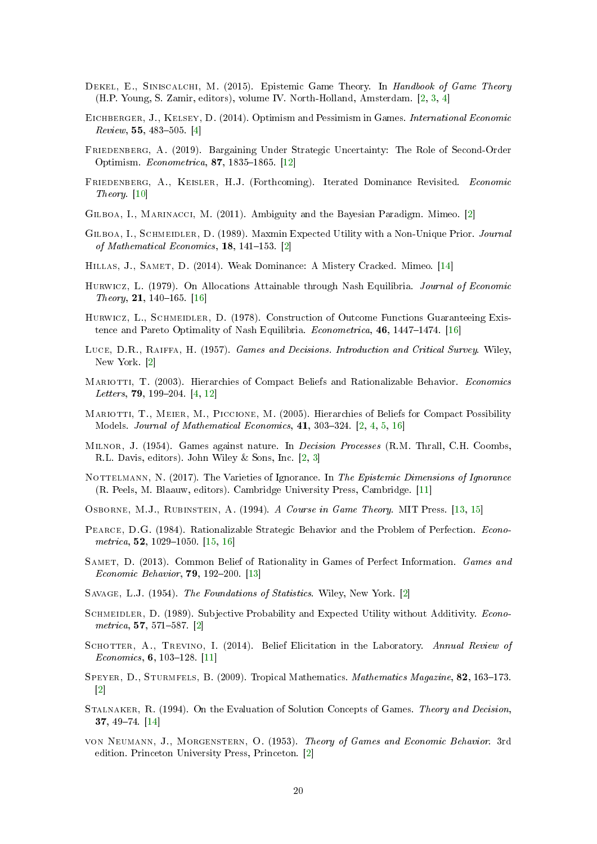- <span id="page-19-8"></span>DEKEL, E., SINISCALCHI, M. (2015). Epistemic Game Theory. In Handbook of Game Theory (H.P. Young, S. Zamir, editors), volume IV. North-Holland, Amsterdam. [\[2,](#page-1-3) [3,](#page-2-5) [4\]](#page-3-3)
- <span id="page-19-11"></span>Eichberger, J., Kelsey, D. (2014). Optimism and Pessimism in Games. International Economic  $Review, 55, 483–505. [4]$  $Review, 55, 483–505. [4]$
- <span id="page-19-15"></span>Friedenberg, A. (2019). Bargaining Under Strategic Uncertainty: The Role of Second-Order Optimism. Econometrica, 87, 1835-1865. [\[12\]](#page-11-5)
- <span id="page-19-12"></span>FRIEDENBERG, A., KEISLER, H.J. (Forthcoming). Iterated Dominance Revisited. Economic Theory. [\[10\]](#page-9-5)
- <span id="page-19-7"></span>Gilboa, I., Marinacci, M. (2011). Ambiguity and the Bayesian Paradigm. Mimeo. [\[2\]](#page-1-3)
- <span id="page-19-2"></span>GILBOA, I., SCHMEIDLER, D. (1989). Maxmin Expected Utility with a Non-Unique Prior. Journal of Mathematical Economics,  $18, 141-153$ . [\[2\]](#page-1-3)
- <span id="page-19-19"></span>Hillas, J., Samet, D. (2014). Weak Dominance: A Mistery Cracked. Mimeo. [\[14\]](#page-13-2)
- <span id="page-19-22"></span>HURWICZ, L. (1979). On Allocations Attainable through Nash Equilibria. Journal of Economic Theory, 21, 140–165. [\[16\]](#page-15-5)
- <span id="page-19-21"></span>HURWICZ, L., SCHMEIDLER, D. (1978). Construction of Outcome Functions Guaranteeing Existence and Pareto Optimality of Nash Equilibria. Econometrica,  $46, 1447-1474$ . [\[16\]](#page-15-5)
- <span id="page-19-5"></span>Luce, D.R., Raiffa, H. (1957). Games and Decisions. Introduction and Critical Survey. Wiley, New York. [\[2\]](#page-1-3)
- <span id="page-19-10"></span>MARIOTTI, T. (2003). Hierarchies of Compact Beliefs and Rationalizable Behavior. Economics Letters,  $79, 199-204, [4, 12]$  $79, 199-204, [4, 12]$  $79, 199-204, [4, 12]$  $79, 199-204, [4, 12]$
- <span id="page-19-6"></span>MARIOTTI, T., MEIER, M., PICCIONE, M. (2005). Hierarchies of Beliefs for Compact Possibility Models. Journal of Mathematical Economics,  $41, 303-324$ .  $[2, 4, 5, 16]$  $[2, 4, 5, 16]$  $[2, 4, 5, 16]$  $[2, 4, 5, 16]$  $[2, 4, 5, 16]$  $[2, 4, 5, 16]$  $[2, 4, 5, 16]$
- <span id="page-19-4"></span>Milnor, J. (1954). Games against nature. In Decision Processes (R.M. Thrall, C.H. Coombs, R.L. Davis, editors). John Wiley & Sons, Inc. [\[2,](#page-1-3) [3\]](#page-2-5)
- <span id="page-19-13"></span>NOTTELMANN, N. (2017). The Varieties of Ignorance. In The Epistemic Dimensions of Ignorance (R. Peels, M. Blaauw, editors). Cambridge University Press, Cambridge. [\[11\]](#page-10-6)
- <span id="page-19-16"></span>Osborne, M.J., Rubinstein, A. (1994). A Course in Game Theory. MIT Press. [\[13,](#page-12-5) [15\]](#page-14-4)
- <span id="page-19-20"></span>Pearce, D.G. (1984). Rationalizable Strategic Behavior and the Problem of Perfection. Econometrica,  $52$ , 1029-1050. [\[15,](#page-14-4) [16\]](#page-15-5)
- <span id="page-19-17"></span>SAMET, D. (2013). Common Belief of Rationality in Games of Perfect Information. Games and Economic Behavior,  $79, 192-200$ . [\[13\]](#page-12-5)
- <span id="page-19-0"></span>Savage, L.J. (1954). The Foundations of Statistics. Wiley, New York. [\[2\]](#page-1-3)
- <span id="page-19-1"></span>SCHMEIDLER, D. (1989). Subjective Probability and Expected Utility without Additivity. Econo $metrica, 57, 571–587.$  [\[2\]](#page-1-3)
- <span id="page-19-14"></span>SCHOTTER, A., TREVINO, I. (2014). Belief Elicitation in the Laboratory. Annual Review of Economics,  $6, 103-128$ . [\[11\]](#page-10-6)
- <span id="page-19-9"></span>SPEYER, D., STURMFELS, B.  $(2009)$ . Tropical Mathematics. *Mathematics Magazine*, **82**, 163–173.  $\lceil 2 \rceil$
- <span id="page-19-18"></span>Stalnaker, R. (1994). On the Evaluation of Solution Concepts of Games. Theory and Decision, 37, 4974. [\[14\]](#page-13-2)
- <span id="page-19-3"></span>von Neumann, J., Morgenstern, O. (1953). Theory of Games and Economic Behavior. 3rd edition. Princeton University Press, Princeton. [\[2\]](#page-1-3)